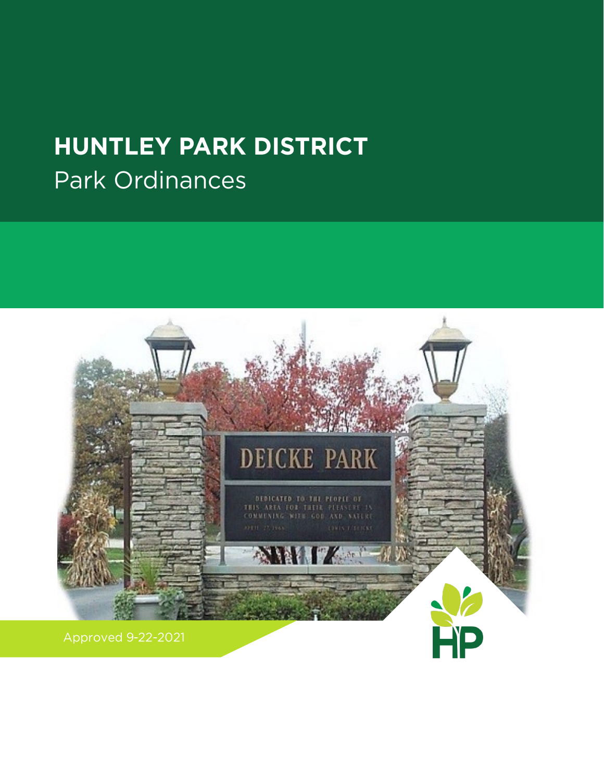# **HUNTLEY PARK DISTRICT** Park Ordinances

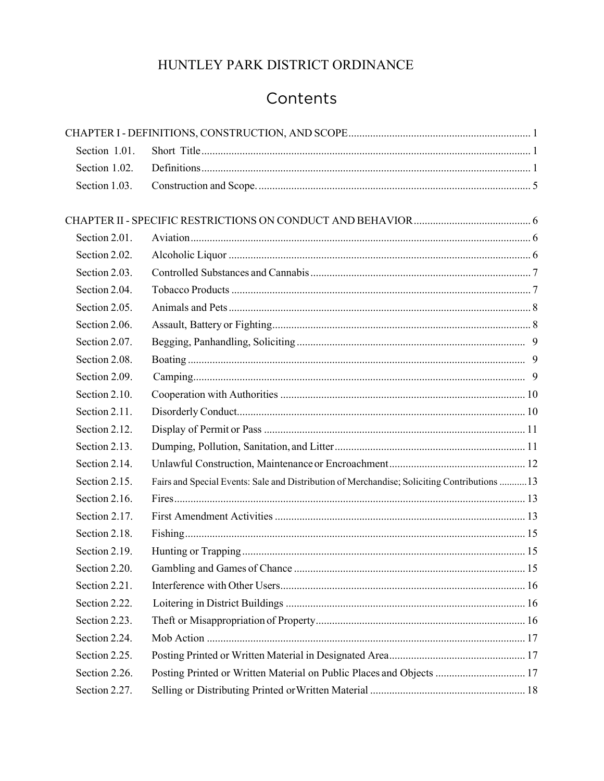# Contents

| Section 1.01. |                                                                                              |  |
|---------------|----------------------------------------------------------------------------------------------|--|
| Section 1.02. |                                                                                              |  |
| Section 1.03. |                                                                                              |  |
|               |                                                                                              |  |
| Section 2.01. |                                                                                              |  |
| Section 2.02. |                                                                                              |  |
| Section 2.03. |                                                                                              |  |
| Section 2.04. |                                                                                              |  |
| Section 2.05. |                                                                                              |  |
| Section 2.06. |                                                                                              |  |
| Section 2.07. |                                                                                              |  |
| Section 2.08. |                                                                                              |  |
| Section 2.09. |                                                                                              |  |
| Section 2.10. |                                                                                              |  |
| Section 2.11. |                                                                                              |  |
| Section 2.12. |                                                                                              |  |
| Section 2.13. |                                                                                              |  |
| Section 2.14. |                                                                                              |  |
| Section 2.15. | Fairs and Special Events: Sale and Distribution of Merchandise; Soliciting Contributions  13 |  |
| Section 2.16. |                                                                                              |  |
| Section 2.17. |                                                                                              |  |
| Section 2.18. |                                                                                              |  |
| Section 2.19. |                                                                                              |  |
| Section 2.20. |                                                                                              |  |
| Section 2.21. |                                                                                              |  |
| Section 2.22. |                                                                                              |  |
| Section 2.23. |                                                                                              |  |
| Section 2.24. |                                                                                              |  |
| Section 2.25. |                                                                                              |  |
| Section 2.26. | Posting Printed or Written Material on Public Places and Objects  17                         |  |
| Section 2.27. |                                                                                              |  |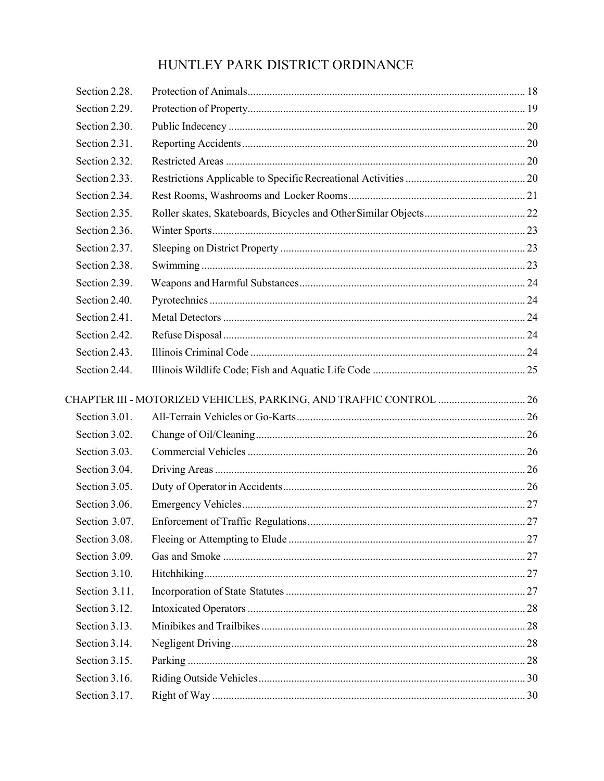| Section 2.28. |  |
|---------------|--|
| Section 2.29. |  |
| Section 2.30. |  |
| Section 2.31. |  |
| Section 2.32. |  |
| Section 2.33. |  |
| Section 2.34. |  |
| Section 2.35. |  |
| Section 2.36. |  |
| Section 2.37. |  |
| Section 2.38. |  |
| Section 2.39. |  |
| Section 2.40. |  |
| Section 2.41. |  |
| Section 2.42. |  |
| Section 2.43. |  |
| Section 2.44. |  |
|               |  |
|               |  |
| Section 3.01. |  |
| Section 3.02. |  |
| Section 3.03. |  |
| Section 3.04. |  |
| Section 3.05. |  |
| Section 3.06. |  |
| Section 3.07. |  |
| Section 3.08. |  |
| Section 3.09. |  |
| Section 3.10. |  |
| Section 3.11. |  |
| Section 3.12. |  |
| Section 3.13. |  |
| Section 3.14. |  |
| Section 3.15. |  |
| Section 3.16. |  |
| Section 3.17. |  |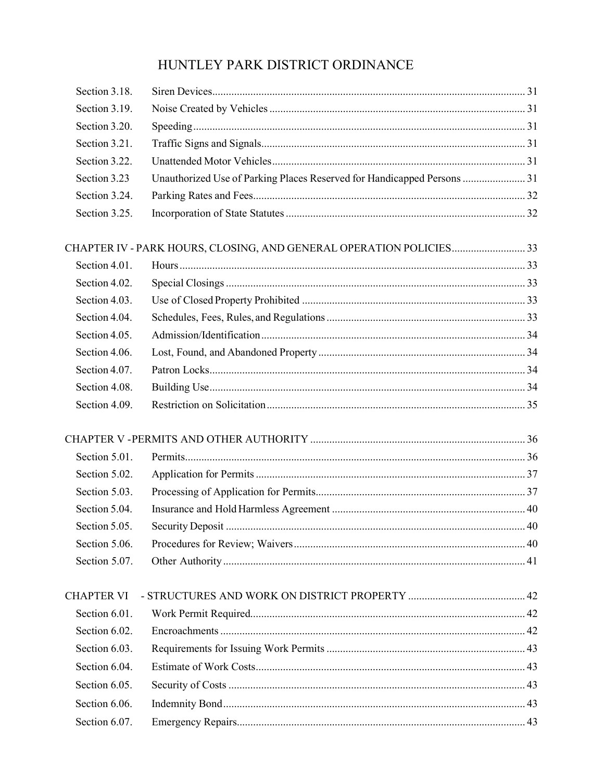| Section 3.18.     |                                                                         |  |
|-------------------|-------------------------------------------------------------------------|--|
| Section 3.19.     |                                                                         |  |
| Section 3.20.     |                                                                         |  |
| Section 3.21.     |                                                                         |  |
| Section 3.22.     |                                                                         |  |
| Section 3.23      | Unauthorized Use of Parking Places Reserved for Handicapped Persons  31 |  |
| Section 3.24.     |                                                                         |  |
| Section 3.25.     |                                                                         |  |
|                   | CHAPTER IV - PARK HOURS, CLOSING, AND GENERAL OPERATION POLICIES33      |  |
| Section 4.01.     |                                                                         |  |
| Section 4.02.     |                                                                         |  |
| Section 4.03.     |                                                                         |  |
| Section 4.04.     |                                                                         |  |
| Section 4.05.     |                                                                         |  |
| Section 4.06.     |                                                                         |  |
| Section 4.07.     |                                                                         |  |
| Section 4.08.     |                                                                         |  |
| Section 4.09.     |                                                                         |  |
|                   |                                                                         |  |
| Section 5.01.     |                                                                         |  |
| Section 5.02.     |                                                                         |  |
| Section 5.03.     |                                                                         |  |
| Section 5.04.     |                                                                         |  |
| Section 5.05.     |                                                                         |  |
| Section 5.06.     |                                                                         |  |
| Section 5.07.     |                                                                         |  |
| <b>CHAPTER VI</b> |                                                                         |  |
| Section 6.01.     |                                                                         |  |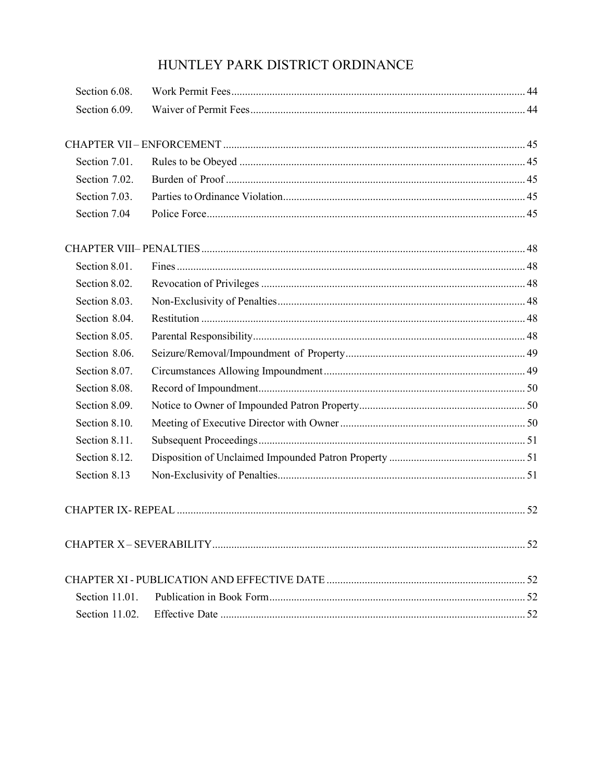| Section 6.08.  |  |
|----------------|--|
| Section 6.09.  |  |
|                |  |
| Section 7.01.  |  |
| Section 7.02.  |  |
| Section 7.03.  |  |
| Section 7.04   |  |
|                |  |
| Section 8.01.  |  |
| Section 8.02.  |  |
| Section 8.03.  |  |
| Section 8.04.  |  |
| Section 8.05.  |  |
| Section 8.06.  |  |
| Section 8.07.  |  |
| Section 8.08.  |  |
| Section 8.09.  |  |
| Section 8.10.  |  |
| Section 8.11.  |  |
| Section 8.12.  |  |
| Section 8.13   |  |
|                |  |
|                |  |
|                |  |
| Section 11.01. |  |
| Section 11.02. |  |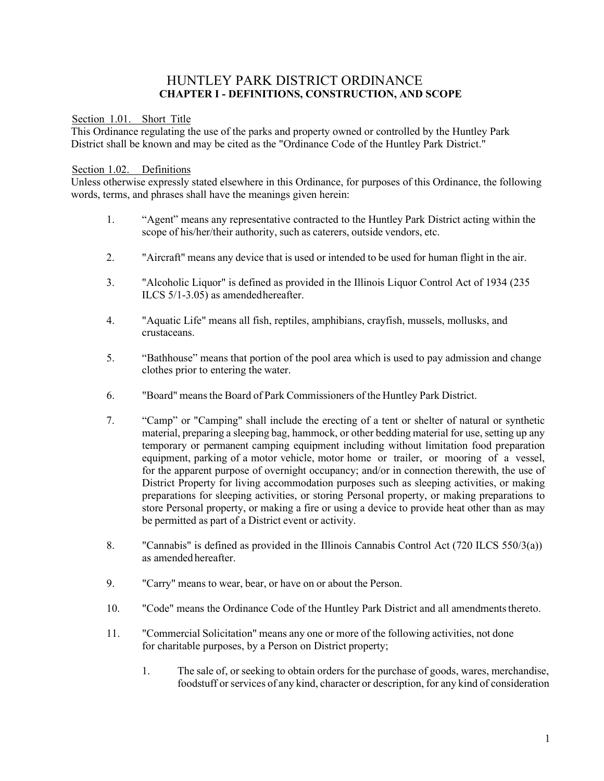### HUNTLEY PARK DISTRICT ORDINANCE **CHAPTER I - DEFINITIONS, CONSTRUCTION, AND SCOPE**

<span id="page-5-1"></span><span id="page-5-0"></span>Section 1.01. Short Title

This Ordinance regulating the use of the parks and property owned or controlled by the Huntley Park District shall be known and may be cited as the "Ordinance Code of the Huntley Park District."

#### <span id="page-5-2"></span>Section 1.02. Definitions

Unless otherwise expressly stated elsewhere in this Ordinance, for purposes of this Ordinance, the following words, terms, and phrases shall have the meanings given herein:

- 1. "Agent" means any representative contracted to the Huntley Park District acting within the scope of his/her/their authority, such as caterers, outside vendors, etc.
- 2. "Aircraft" means any device that is used or intended to be used for human flight in the air.
- 3. "Alcoholic Liquor" is defined as provided in the Illinois Liquor Control Act of 1934 (235 ILCS 5/1-3.05) as amendedhereafter.
- 4. "Aquatic Life" means all fish, reptiles, amphibians, crayfish, mussels, mollusks, and crustaceans.
- 5. "Bathhouse" means that portion of the pool area which is used to pay admission and change clothes prior to entering the water.
- 6. "Board" meansthe Board of Park Commissioners of the Huntley Park District.
- 7. "Camp" or "Camping" shall include the erecting of a tent or shelter of natural or synthetic material, preparing a sleeping bag, hammock, or other bedding material for use, setting up any temporary or permanent camping equipment including without limitation food preparation equipment, parking of a motor vehicle, motor home or trailer, or mooring of a vessel, for the apparent purpose of overnight occupancy; and/or in connection therewith, the use of District Property for living accommodation purposes such as sleeping activities, or making preparations for sleeping activities, or storing Personal property, or making preparations to store Personal property, or making a fire or using a device to provide heat other than as may be permitted as part of a District event or activity.
- 8. "Cannabis" is defined as provided in the Illinois Cannabis Control Act (720 ILCS 550/3(a)) as amended hereafter.
- 9. "Carry" means to wear, bear, or have on or about the Person.
- 10. "Code" means the Ordinance Code of the Huntley Park District and all amendmentsthereto.
- 11. "Commercial Solicitation" means any one or more of the following activities, not done for charitable purposes, by a Person on District property;
	- 1. The sale of, or seeking to obtain orders for the purchase of goods, wares, merchandise, foodstuff or services of any kind, character or description, for any kind of consideration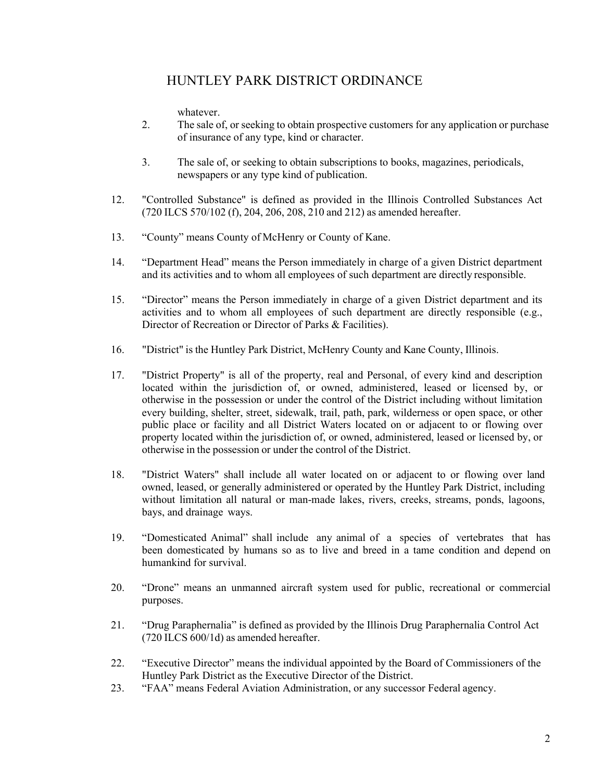whatever.

- 2. The sale of, or seeking to obtain prospective customers for any application or purchase of insurance of any type, kind or character.
- 3. The sale of, or seeking to obtain subscriptions to books, magazines, periodicals, newspapers or any type kind of publication.
- 12. "Controlled Substance" is defined as provided in the Illinois Controlled Substances Act (720 ILCS 570/102 (f), 204, 206, 208, 210 and 212) as amended hereafter.
- 13. "County" means County of McHenry or County of Kane.
- 14. "Department Head" means the Person immediately in charge of a given District department and its activities and to whom all employees of such department are directly responsible.
- 15. "Director" means the Person immediately in charge of a given District department and its activities and to whom all employees of such department are directly responsible (e.g., Director of Recreation or Director of Parks & Facilities).
- 16. "District" is the Huntley Park District, McHenry County and Kane County, Illinois.
- 17. "District Property" is all of the property, real and Personal, of every kind and description located within the jurisdiction of, or owned, administered, leased or licensed by, or otherwise in the possession or under the control of the District including without limitation every building, shelter, street, sidewalk, trail, path, park, wilderness or open space, or other public place or facility and all District Waters located on or adjacent to or flowing over property located within the jurisdiction of, or owned, administered, leased or licensed by, or otherwise in the possession or under the control of the District.
- 18. "District Waters" shall include all water located on or adjacent to or flowing over land owned, leased, or generally administered or operated by the Huntley Park District, including without limitation all natural or man-made lakes, rivers, creeks, streams, ponds, lagoons, bays, and drainage ways.
- 19. "Domesticated Animal" shall include any animal of a species of vertebrates that has been domesticated by humans so as to live and breed in a tame condition and depend on humankind for survival.
- 20. "Drone" means an unmanned aircraft system used for public, recreational or commercial purposes.
- 21. "Drug Paraphernalia" is defined as provided by the Illinois Drug Paraphernalia Control Act (720 ILCS 600/1d) as amended hereafter.
- 22. "Executive Director" means the individual appointed by the Board of Commissioners of the Huntley Park District as the Executive Director of the District.
- 23. "FAA" means Federal Aviation Administration, or any successor Federal agency.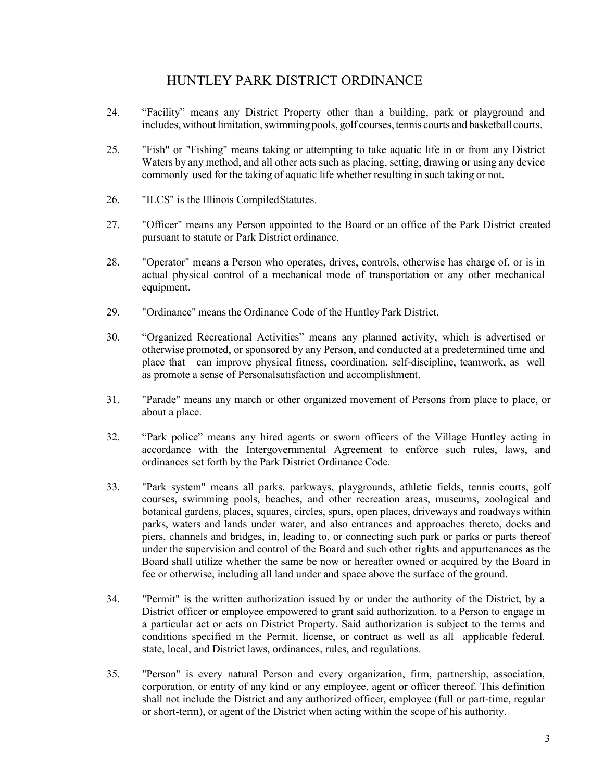- 24. "Facility" means any District Property other than a building, park or playground and includes, without limitation,swimming pools, golf courses, tennis courts and basketball courts.
- 25. "Fish" or "Fishing" means taking or attempting to take aquatic life in or from any District Waters by any method, and all other acts such as placing, setting, drawing or using any device commonly used for the taking of aquatic life whether resulting in such taking or not.
- 26. "ILCS" is the Illinois CompiledStatutes.
- 27. "Officer" means any Person appointed to the Board or an office of the Park District created pursuant to statute or Park District ordinance.
- 28. "Operator" means a Person who operates, drives, controls, otherwise has charge of, or is in actual physical control of a mechanical mode of transportation or any other mechanical equipment.
- 29. "Ordinance" means the Ordinance Code of the Huntley Park District.
- 30. "Organized Recreational Activities" means any planned activity, which is advertised or otherwise promoted, or sponsored by any Person, and conducted at a predetermined time and place that can improve physical fitness, coordination, self-discipline, teamwork, as well as promote a sense of Personalsatisfaction and accomplishment.
- 31. "Parade" means any march or other organized movement of Persons from place to place, or about a place.
- 32. "Park police" means any hired agents or sworn officers of the Village Huntley acting in accordance with the Intergovernmental Agreement to enforce such rules, laws, and ordinances set forth by the Park District Ordinance Code.
- 33. "Park system" means all parks, parkways, playgrounds, athletic fields, tennis courts, golf courses, swimming pools, beaches, and other recreation areas, museums, zoological and botanical gardens, places, squares, circles, spurs, open places, driveways and roadways within parks, waters and lands under water, and also entrances and approaches thereto, docks and piers, channels and bridges, in, leading to, or connecting such park or parks or parts thereof under the supervision and control of the Board and such other rights and appurtenances as the Board shall utilize whether the same be now or hereafter owned or acquired by the Board in fee or otherwise, including all land under and space above the surface of the ground.
- 34. "Permit" is the written authorization issued by or under the authority of the District, by a District officer or employee empowered to grant said authorization, to a Person to engage in a particular act or acts on District Property. Said authorization is subject to the terms and conditions specified in the Permit, license, or contract as well as all applicable federal, state, local, and District laws, ordinances, rules, and regulations.
- 35. "Person" is every natural Person and every organization, firm, partnership, association, corporation, or entity of any kind or any employee, agent or officer thereof. This definition shall not include the District and any authorized officer, employee (full or part-time, regular or short-term), or agent of the District when acting within the scope of his authority.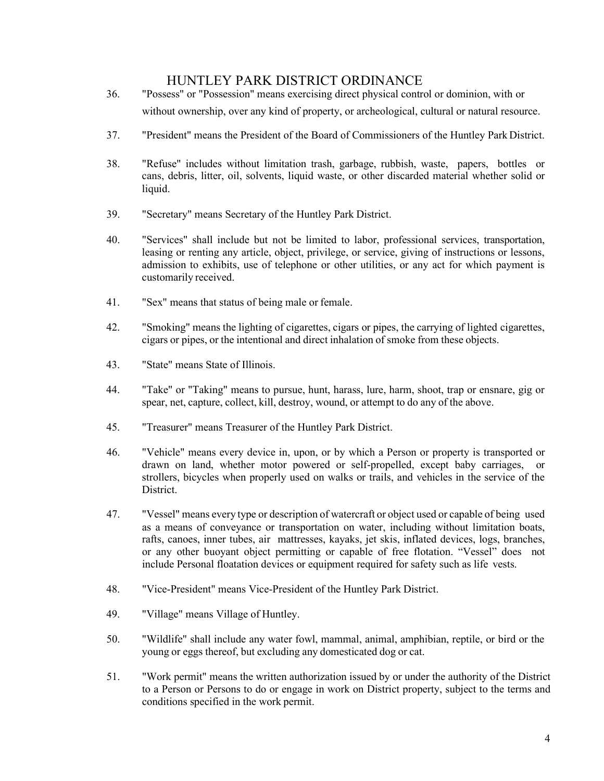- 36. "Possess" or "Possession" means exercising direct physical control or dominion, with or without ownership, over any kind of property, or archeological, cultural or natural resource.
- 37. "President" means the President of the Board of Commissioners of the Huntley Park District.
- 38. "Refuse" includes without limitation trash, garbage, rubbish, waste, papers, bottles or cans, debris, litter, oil, solvents, liquid waste, or other discarded material whether solid or liquid.
- 39. "Secretary" means Secretary of the Huntley Park District.
- 40. "Services" shall include but not be limited to labor, professional services, transportation, leasing or renting any article, object, privilege, or service, giving of instructions or lessons, admission to exhibits, use of telephone or other utilities, or any act for which payment is customarily received.
- 41. "Sex" means that status of being male or female.
- 42. "Smoking" means the lighting of cigarettes, cigars or pipes, the carrying of lighted cigarettes, cigars or pipes, or the intentional and direct inhalation of smoke from these objects.
- 43. "State" means State of Illinois.
- 44. "Take" or "Taking" means to pursue, hunt, harass, lure, harm, shoot, trap or ensnare, gig or spear, net, capture, collect, kill, destroy, wound, or attempt to do any of the above.
- 45. "Treasurer" means Treasurer of the Huntley Park District.
- 46. "Vehicle" means every device in, upon, or by which a Person or property is transported or drawn on land, whether motor powered or self-propelled, except baby carriages, or strollers, bicycles when properly used on walks or trails, and vehicles in the service of the District.
- 47. "Vessel" means every type or description of watercraft or object used or capable of being used as a means of conveyance or transportation on water, including without limitation boats, rafts, canoes, inner tubes, air mattresses, kayaks, jet skis, inflated devices, logs, branches, or any other buoyant object permitting or capable of free flotation. "Vessel" does not include Personal floatation devices or equipment required for safety such as life vests.
- 48. "Vice-President" means Vice-President of the Huntley Park District.
- 49. "Village" means Village of Huntley.
- 50. "Wildlife" shall include any water fowl, mammal, animal, amphibian, reptile, or bird or the young or eggs thereof, but excluding any domesticated dog or cat.
- 51. "Work permit" means the written authorization issued by or under the authority of the District to a Person or Persons to do or engage in work on District property, subject to the terms and conditions specified in the work permit.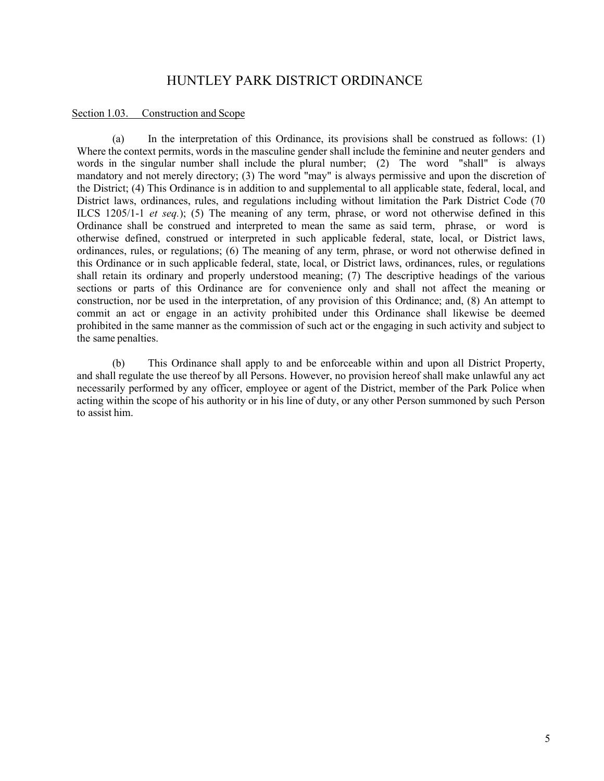#### <span id="page-9-0"></span>Section 1.03. Construction and Scope

(a) In the interpretation of this Ordinance, its provisions shall be construed as follows: (1) Where the context permits, words in the masculine gender shall include the feminine and neuter genders and words in the singular number shall include the plural number; (2) The word "shall" is always mandatory and not merely directory; (3) The word "may" is always permissive and upon the discretion of the District; (4) This Ordinance is in addition to and supplemental to all applicable state, federal, local, and District laws, ordinances, rules, and regulations including without limitation the Park District Code (70 ILCS 1205/1-1 *et seq.*); (5) The meaning of any term, phrase, or word not otherwise defined in this Ordinance shall be construed and interpreted to mean the same as said term, phrase, or word is otherwise defined, construed or interpreted in such applicable federal, state, local, or District laws, ordinances, rules, or regulations; (6) The meaning of any term, phrase, or word not otherwise defined in this Ordinance or in such applicable federal, state, local, or District laws, ordinances, rules, or regulations shall retain its ordinary and properly understood meaning; (7) The descriptive headings of the various sections or parts of this Ordinance are for convenience only and shall not affect the meaning or construction, nor be used in the interpretation, of any provision of this Ordinance; and, (8) An attempt to commit an act or engage in an activity prohibited under this Ordinance shall likewise be deemed prohibited in the same manner as the commission of such act or the engaging in such activity and subject to the same penalties.

(b) This Ordinance shall apply to and be enforceable within and upon all District Property, and shall regulate the use thereof by all Persons. However, no provision hereof shall make unlawful any act necessarily performed by any officer, employee or agent of the District, member of the Park Police when acting within the scope of his authority or in his line of duty, or any other Person summoned by such Person to assist him.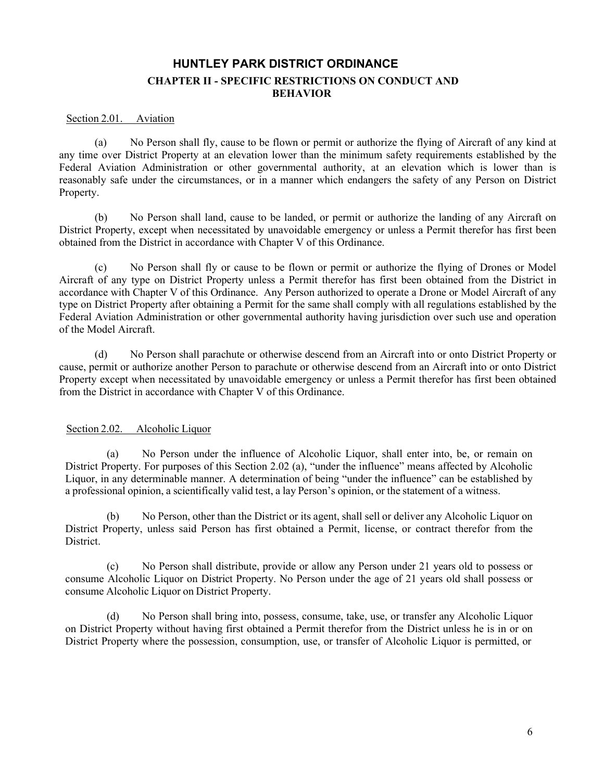### **HUNTLEY PARK DISTRICT ORDINANCE CHAPTER II - SPECIFIC RESTRICTIONS ON CONDUCT AND BEHAVIOR**

#### <span id="page-10-1"></span><span id="page-10-0"></span>Section 2.01. Aviation

(a) No Person shall fly, cause to be flown or permit or authorize the flying of Aircraft of any kind at any time over District Property at an elevation lower than the minimum safety requirements established by the Federal Aviation Administration or other governmental authority, at an elevation which is lower than is reasonably safe under the circumstances, or in a manner which endangers the safety of any Person on District Property.

(b) No Person shall land, cause to be landed, or permit or authorize the landing of any Aircraft on District Property, except when necessitated by unavoidable emergency or unless a Permit therefor has first been obtained from the District in accordance with Chapter V of this Ordinance.

No Person shall fly or cause to be flown or permit or authorize the flying of Drones or Model Aircraft of any type on District Property unless a Permit therefor has first been obtained from the District in accordance with Chapter V of this Ordinance. Any Person authorized to operate a Drone or Model Aircraft of any type on District Property after obtaining a Permit for the same shall comply with all regulations established by the Federal Aviation Administration or other governmental authority having jurisdiction over such use and operation of the Model Aircraft.

(d) No Person shall parachute or otherwise descend from an Aircraft into or onto District Property or cause, permit or authorize another Person to parachute or otherwise descend from an Aircraft into or onto District Property except when necessitated by unavoidable emergency or unless a Permit therefor has first been obtained from the District in accordance with Chapter V of this Ordinance.

### <span id="page-10-2"></span>Section 2.02. Alcoholic Liquor

(a) No Person under the influence of Alcoholic Liquor, shall enter into, be, or remain on District Property. For purposes of this Section 2.02 (a), "under the influence" means affected by Alcoholic Liquor, in any determinable manner. A determination of being "under the influence" can be established by a professional opinion, a scientifically valid test, a lay Person's opinion, or the statement of a witness.

(b) No Person, other than the District or its agent, shall sell or deliver any Alcoholic Liquor on District Property, unless said Person has first obtained a Permit, license, or contract therefor from the District.

(c) No Person shall distribute, provide or allow any Person under 21 years old to possess or consume Alcoholic Liquor on District Property. No Person under the age of 21 years old shall possess or consume Alcoholic Liquor on District Property.

(d) No Person shall bring into, possess, consume, take, use, or transfer any Alcoholic Liquor on District Property without having first obtained a Permit therefor from the District unless he is in or on District Property where the possession, consumption, use, or transfer of Alcoholic Liquor is permitted, or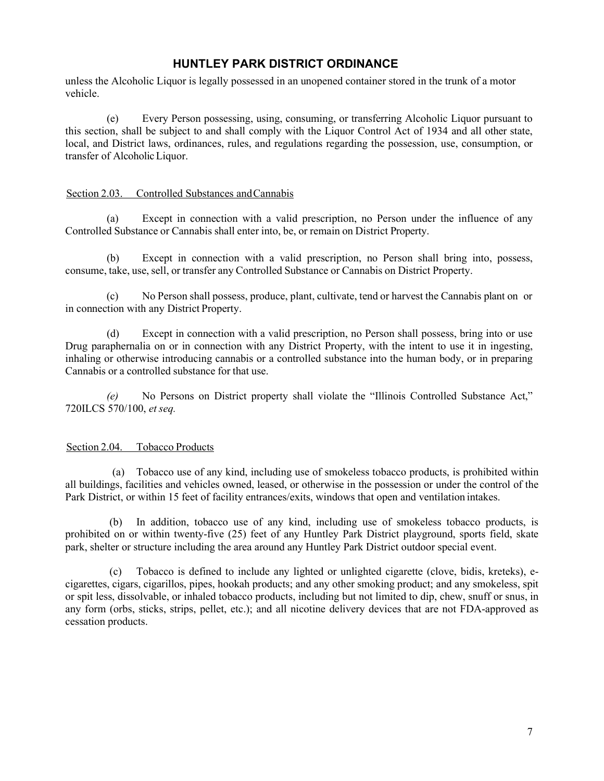unless the Alcoholic Liquor is legally possessed in an unopened container stored in the trunk of a motor vehicle.

(e) Every Person possessing, using, consuming, or transferring Alcoholic Liquor pursuant to this section, shall be subject to and shall comply with the Liquor Control Act of 1934 and all other state, local, and District laws, ordinances, rules, and regulations regarding the possession, use, consumption, or transfer of Alcoholic Liquor.

#### <span id="page-11-0"></span>Section 2.03. Controlled Substances and Cannabis

(a) Except in connection with a valid prescription, no Person under the influence of any Controlled Substance or Cannabis shall enter into, be, or remain on District Property.

(b) Except in connection with a valid prescription, no Person shall bring into, possess, consume, take, use, sell, or transfer any Controlled Substance or Cannabis on District Property.

(c) No Person shall possess, produce, plant, cultivate, tend or harvest the Cannabis plant on or in connection with any District Property.

(d) Except in connection with a valid prescription, no Person shall possess, bring into or use Drug paraphernalia on or in connection with any District Property, with the intent to use it in ingesting, inhaling or otherwise introducing cannabis or a controlled substance into the human body, or in preparing Cannabis or a controlled substance for that use.

*(e)* No Persons on District property shall violate the "Illinois Controlled Substance Act," 720ILCS 570/100, *et seq.*

### <span id="page-11-1"></span>Section 2.04. Tobacco Products

(a) Tobacco use of any kind, including use of smokeless tobacco products, is prohibited within all buildings, facilities and vehicles owned, leased, or otherwise in the possession or under the control of the Park District, or within 15 feet of facility entrances/exits, windows that open and ventilation intakes.

(b) In addition, tobacco use of any kind, including use of smokeless tobacco products, is prohibited on or within twenty-five (25) feet of any Huntley Park District playground, sports field, skate park, shelter or structure including the area around any Huntley Park District outdoor special event.

(c) Tobacco is defined to include any lighted or unlighted cigarette (clove, bidis, kreteks), ecigarettes, cigars, cigarillos, pipes, hookah products; and any other smoking product; and any smokeless, spit or spit less, dissolvable, or inhaled tobacco products, including but not limited to dip, chew, snuff or snus, in any form (orbs, sticks, strips, pellet, etc.); and all nicotine delivery devices that are not FDA-approved as cessation products.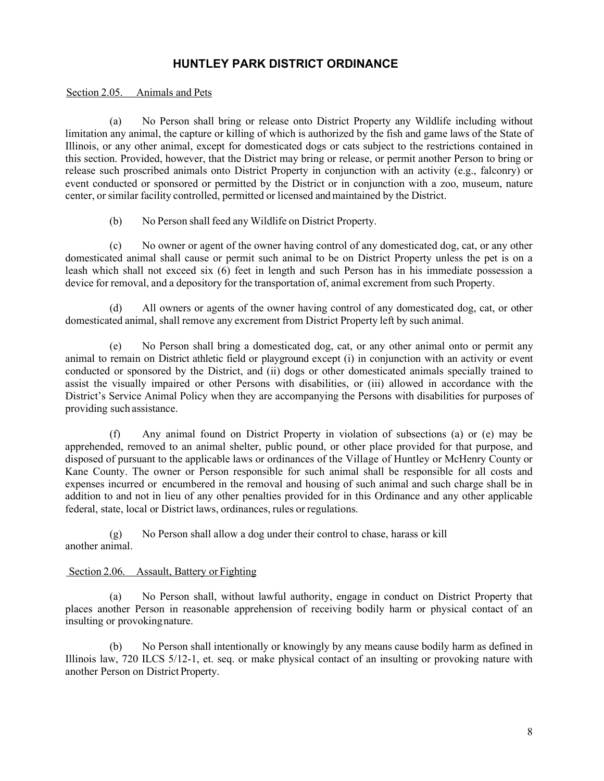#### <span id="page-12-0"></span>Section 2.05. Animals and Pets

(a) No Person shall bring or release onto District Property any Wildlife including without limitation any animal, the capture or killing of which is authorized by the fish and game laws of the State of Illinois, or any other animal, except for domesticated dogs or cats subject to the restrictions contained in this section. Provided, however, that the District may bring or release, or permit another Person to bring or release such proscribed animals onto District Property in conjunction with an activity (e.g., falconry) or event conducted or sponsored or permitted by the District or in conjunction with a zoo, museum, nature center, or similar facility controlled, permitted or licensed andmaintained by the District.

(b) No Person shall feed any Wildlife on District Property.

(c) No owner or agent of the owner having control of any domesticated dog, cat, or any other domesticated animal shall cause or permit such animal to be on District Property unless the pet is on a leash which shall not exceed six (6) feet in length and such Person has in his immediate possession a device for removal, and a depository for the transportation of, animal excrement from such Property.

(d) All owners or agents of the owner having control of any domesticated dog, cat, or other domesticated animal, shall remove any excrement from District Property left by such animal.

(e) No Person shall bring a domesticated dog, cat, or any other animal onto or permit any animal to remain on District athletic field or playground except (i) in conjunction with an activity or event conducted or sponsored by the District, and (ii) dogs or other domesticated animals specially trained to assist the visually impaired or other Persons with disabilities, or (iii) allowed in accordance with the District's Service Animal Policy when they are accompanying the Persons with disabilities for purposes of providing such assistance.

(f) Any animal found on District Property in violation of subsections (a) or (e) may be apprehended, removed to an animal shelter, public pound, or other place provided for that purpose, and disposed of pursuant to the applicable laws or ordinances of the Village of Huntley or McHenry County or Kane County. The owner or Person responsible for such animal shall be responsible for all costs and expenses incurred or encumbered in the removal and housing of such animal and such charge shall be in addition to and not in lieu of any other penalties provided for in this Ordinance and any other applicable federal, state, local or District laws, ordinances, rules or regulations.

(g) No Person shall allow a dog under their control to chase, harass or kill another animal.

#### <span id="page-12-1"></span>Section 2.06. Assault, Battery or Fighting

(a) No Person shall, without lawful authority, engage in conduct on District Property that places another Person in reasonable apprehension of receiving bodily harm or physical contact of an insulting or provokingnature.

(b) No Person shall intentionally or knowingly by any means cause bodily harm as defined in Illinois law, 720 ILCS 5/12-1, et. seq. or make physical contact of an insulting or provoking nature with another Person on District Property.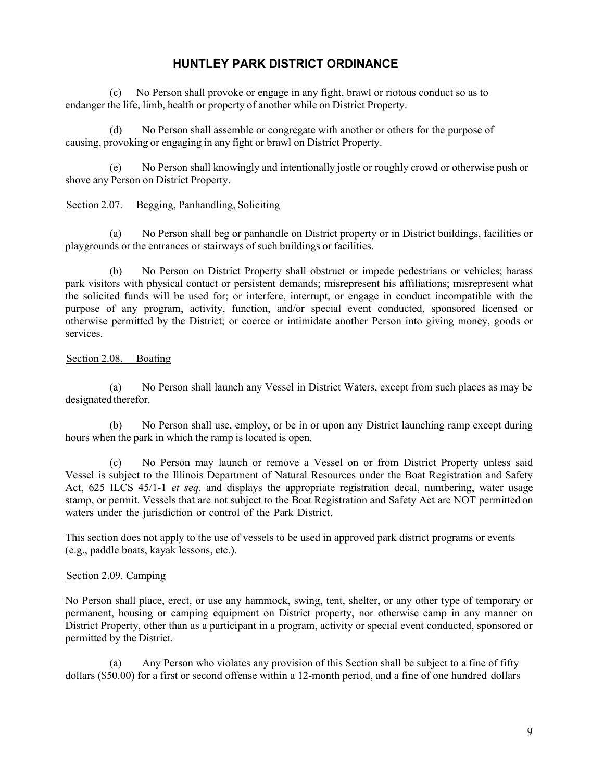(c) No Person shall provoke or engage in any fight, brawl or riotous conduct so as to endanger the life, limb, health or property of another while on District Property.

(d) No Person shall assemble or congregate with another or others for the purpose of causing, provoking or engaging in any fight or brawl on District Property.

(e) No Person shall knowingly and intentionally jostle or roughly crowd or otherwise push or shove any Person on District Property.

### <span id="page-13-0"></span>Section 2.07. Begging, Panhandling, Soliciting

(a) No Person shall beg or panhandle on District property or in District buildings, facilities or playgrounds or the entrances or stairways of such buildings or facilities.

(b) No Person on District Property shall obstruct or impede pedestrians or vehicles; harass park visitors with physical contact or persistent demands; misrepresent his affiliations; misrepresent what the solicited funds will be used for; or interfere, interrupt, or engage in conduct incompatible with the purpose of any program, activity, function, and/or special event conducted, sponsored licensed or otherwise permitted by the District; or coerce or intimidate another Person into giving money, goods or services.

### <span id="page-13-1"></span>Section 2.08. Boating

(a) No Person shall launch any Vessel in District Waters, except from such places as may be designated therefor.

(b) No Person shall use, employ, or be in or upon any District launching ramp except during hours when the park in which the ramp is located is open.

(c) No Person may launch or remove a Vessel on or from District Property unless said Vessel is subject to the Illinois Department of Natural Resources under the Boat Registration and Safety Act, 625 ILCS 45/1-1 *et seq.* and displays the appropriate registration decal, numbering, water usage stamp, or permit. Vessels that are not subject to the Boat Registration and Safety Act are NOT permitted on waters under the jurisdiction or control of the Park District.

This section does not apply to the use of vessels to be used in approved park district programs or events (e.g., paddle boats, kayak lessons, etc.).

### <span id="page-13-2"></span>Section 2.09. Camping

No Person shall place, erect, or use any hammock, swing, tent, shelter, or any other type of temporary or permanent, housing or camping equipment on District property, nor otherwise camp in any manner on District Property, other than as a participant in a program, activity or special event conducted, sponsored or permitted by the District.

(a) Any Person who violates any provision of this Section shall be subject to a fine of fifty dollars (\$50.00) for a first or second offense within a 12-month period, and a fine of one hundred dollars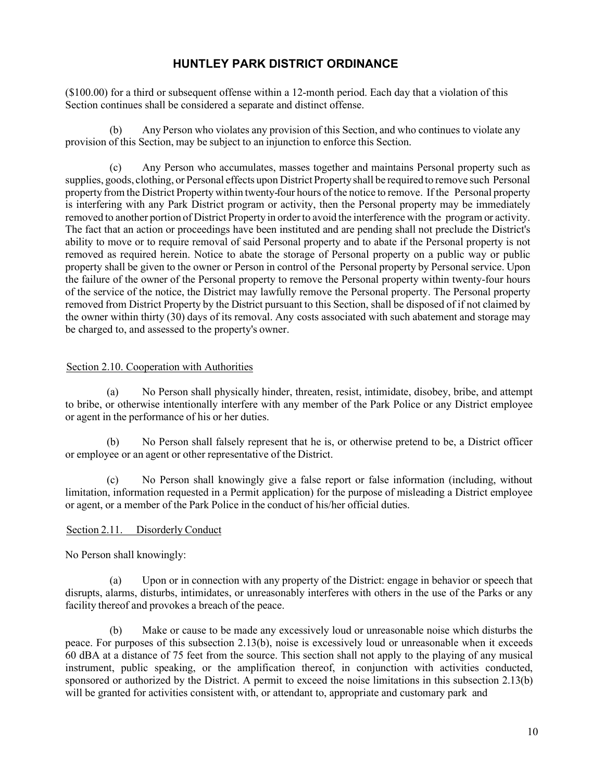(\$100.00) for a third or subsequent offense within a 12-month period. Each day that a violation of this Section continues shall be considered a separate and distinct offense.

(b) Any Person who violates any provision of this Section, and who continues to violate any provision of this Section, may be subject to an injunction to enforce this Section.

(c) Any Person who accumulates, masses together and maintains Personal property such as supplies, goods, clothing, or Personal effects upon District Property shall be required to remove such Personal property from the District Property within twenty-four hours of the notice to remove. If the Personal property is interfering with any Park District program or activity, then the Personal property may be immediately removed to another portion of District Property in order to avoid the interference with the program or activity. The fact that an action or proceedings have been instituted and are pending shall not preclude the District's ability to move or to require removal of said Personal property and to abate if the Personal property is not removed as required herein. Notice to abate the storage of Personal property on a public way or public property shall be given to the owner or Person in control of the Personal property by Personal service. Upon the failure of the owner of the Personal property to remove the Personal property within twenty-four hours of the service of the notice, the District may lawfully remove the Personal property. The Personal property removed from District Property by the District pursuant to this Section, shall be disposed of if not claimed by the owner within thirty (30) days of its removal. Any costs associated with such abatement and storage may be charged to, and assessed to the property's owner.

### <span id="page-14-0"></span>Section 2.10. Cooperation with Authorities

(a) No Person shall physically hinder, threaten, resist, intimidate, disobey, bribe, and attempt to bribe, or otherwise intentionally interfere with any member of the Park Police or any District employee or agent in the performance of his or her duties.

(b) No Person shall falsely represent that he is, or otherwise pretend to be, a District officer or employee or an agent or other representative of the District.

(c) No Person shall knowingly give a false report or false information (including, without limitation, information requested in a Permit application) for the purpose of misleading a District employee or agent, or a member of the Park Police in the conduct of his/her official duties.

### <span id="page-14-1"></span>Section 2.11. Disorderly Conduct

No Person shall knowingly:

(a) Upon or in connection with any property of the District: engage in behavior or speech that disrupts, alarms, disturbs, intimidates, or unreasonably interferes with others in the use of the Parks or any facility thereof and provokes a breach of the peace.

(b) Make or cause to be made any excessively loud or unreasonable noise which disturbs the peace. For purposes of this subsection 2.13(b), noise is excessively loud or unreasonable when it exceeds 60 dBA at a distance of 75 feet from the source. This section shall not apply to the playing of any musical instrument, public speaking, or the amplification thereof, in conjunction with activities conducted, sponsored or authorized by the District. A permit to exceed the noise limitations in this subsection 2.13(b) will be granted for activities consistent with, or attendant to, appropriate and customary park and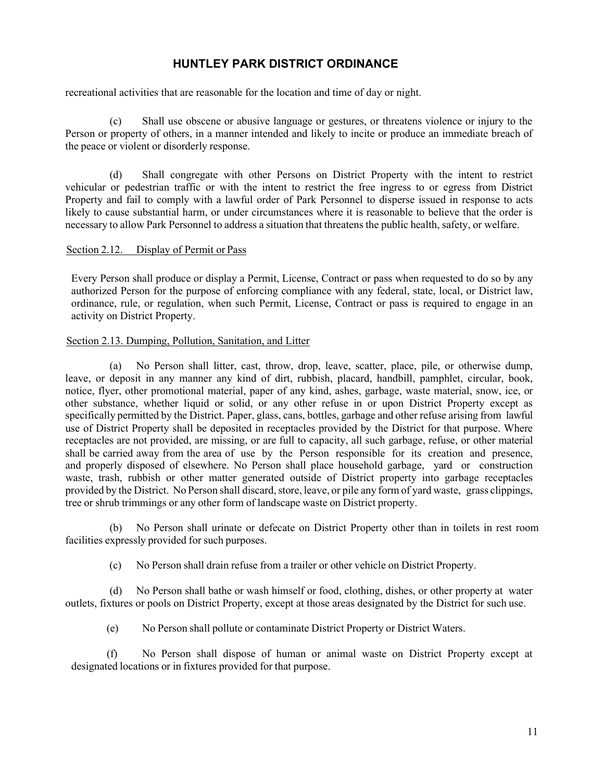recreational activities that are reasonable for the location and time of day or night.

(c) Shall use obscene or abusive language or gestures, or threatens violence or injury to the Person or property of others, in a manner intended and likely to incite or produce an immediate breach of the peace or violent or disorderly response.

(d) Shall congregate with other Persons on District Property with the intent to restrict vehicular or pedestrian traffic or with the intent to restrict the free ingress to or egress from District Property and fail to comply with a lawful order of Park Personnel to disperse issued in response to acts likely to cause substantial harm, or under circumstances where it is reasonable to believe that the order is necessary to allow Park Personnel to address a situation that threatens the public health, safety, or welfare.

#### <span id="page-15-0"></span>Section 2.12. Display of Permit or Pass

Every Person shall produce or display a Permit, License, Contract or pass when requested to do so by any authorized Person for the purpose of enforcing compliance with any federal, state, local, or District law, ordinance, rule, or regulation, when such Permit, License, Contract or pass is required to engage in an activity on District Property.

#### <span id="page-15-1"></span>Section 2.13. Dumping, Pollution, Sanitation, and Litter

(a) No Person shall litter, cast, throw, drop, leave, scatter, place, pile, or otherwise dump, leave, or deposit in any manner any kind of dirt, rubbish, placard, handbill, pamphlet, circular, book, notice, flyer, other promotional material, paper of any kind, ashes, garbage, waste material, snow, ice, or other substance, whether liquid or solid, or any other refuse in or upon District Property except as specifically permitted by the District. Paper, glass, cans, bottles, garbage and other refuse arising from lawful use of District Property shall be deposited in receptacles provided by the District for that purpose. Where receptacles are not provided, are missing, or are full to capacity, all such garbage, refuse, or other material shall be carried away from the area of use by the Person responsible for its creation and presence, and properly disposed of elsewhere. No Person shall place household garbage, yard or construction waste, trash, rubbish or other matter generated outside of District property into garbage receptacles provided by the District. No Person shall discard, store, leave, or pile any form of yard waste, grass clippings, tree or shrub trimmings or any other form of landscape waste on District property.

(b) No Person shall urinate or defecate on District Property other than in toilets in rest room facilities expressly provided for such purposes.

(c) No Person shall drain refuse from a trailer or other vehicle on District Property.

(d) No Person shall bathe or wash himself or food, clothing, dishes, or other property at water outlets, fixtures or pools on District Property, except at those areas designated by the District for such use.

(e) No Person shall pollute or contaminate District Property or District Waters.

(f) No Person shall dispose of human or animal waste on District Property except at designated locations or in fixtures provided for that purpose.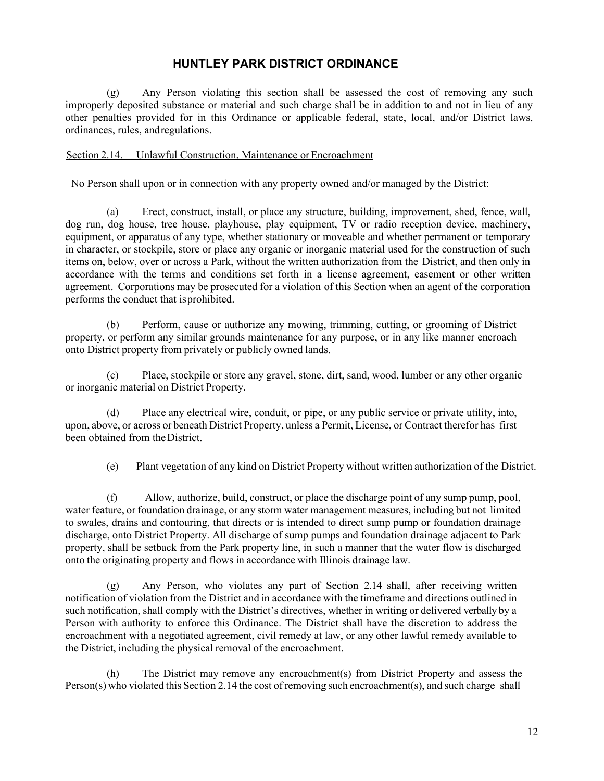(g) Any Person violating this section shall be assessed the cost of removing any such improperly deposited substance or material and such charge shall be in addition to and not in lieu of any other penalties provided for in this Ordinance or applicable federal, state, local, and/or District laws, ordinances, rules, andregulations.

### <span id="page-16-0"></span>Section 2.14. Unlawful Construction, Maintenance or Encroachment

No Person shall upon or in connection with any property owned and/or managed by the District:

(a) Erect, construct, install, or place any structure, building, improvement, shed, fence, wall, dog run, dog house, tree house, playhouse, play equipment, TV or radio reception device, machinery, equipment, or apparatus of any type, whether stationary or moveable and whether permanent or temporary in character, or stockpile, store or place any organic or inorganic material used for the construction of such items on, below, over or across a Park, without the written authorization from the District, and then only in accordance with the terms and conditions set forth in a license agreement, easement or other written agreement. Corporations may be prosecuted for a violation of this Section when an agent of the corporation performs the conduct that isprohibited.

(b) Perform, cause or authorize any mowing, trimming, cutting, or grooming of District property, or perform any similar grounds maintenance for any purpose, or in any like manner encroach onto District property from privately or publicly owned lands.

(c) Place, stockpile or store any gravel, stone, dirt, sand, wood, lumber or any other organic or inorganic material on District Property.

(d) Place any electrical wire, conduit, or pipe, or any public service or private utility, into, upon, above, or across or beneath District Property, unless a Permit, License, or Contract therefor has first been obtained from the District.

(e) Plant vegetation of any kind on District Property without written authorization of the District.

(f) Allow, authorize, build, construct, or place the discharge point of any sump pump, pool, water feature, or foundation drainage, or any storm water management measures, including but not limited to swales, drains and contouring, that directs or is intended to direct sump pump or foundation drainage discharge, onto District Property. All discharge of sump pumps and foundation drainage adjacent to Park property, shall be setback from the Park property line, in such a manner that the water flow is discharged onto the originating property and flows in accordance with Illinois drainage law.

(g) Any Person, who violates any part of Section 2.14 shall, after receiving written notification of violation from the District and in accordance with the timeframe and directions outlined in such notification, shall comply with the District's directives, whether in writing or delivered verbally by a Person with authority to enforce this Ordinance. The District shall have the discretion to address the encroachment with a negotiated agreement, civil remedy at law, or any other lawful remedy available to the District, including the physical removal of the encroachment.

(h) The District may remove any encroachment(s) from District Property and assess the Person(s) who violated this Section 2.14 the cost of removing such encroachment(s), and such charge shall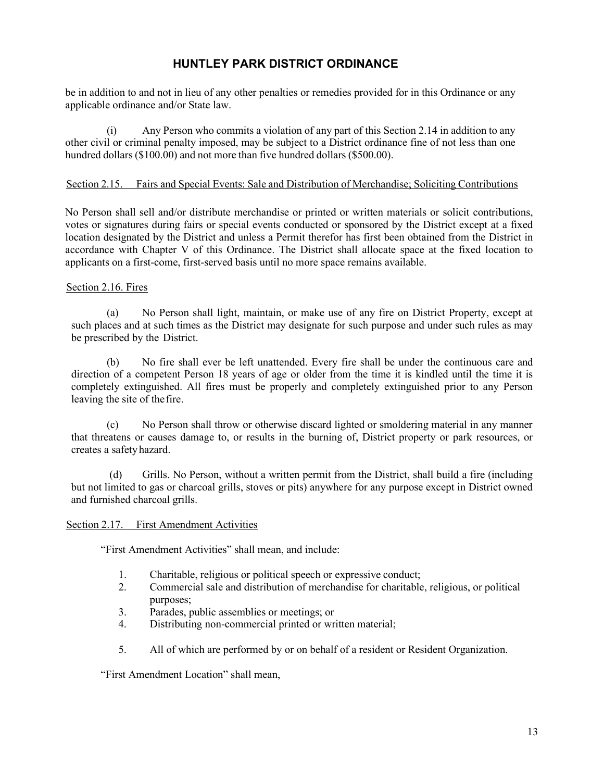be in addition to and not in lieu of any other penalties or remedies provided for in this Ordinance or any applicable ordinance and/or State law.

(i) Any Person who commits a violation of any part of this Section 2.14 in addition to any other civil or criminal penalty imposed, may be subject to a District ordinance fine of not less than one hundred dollars (\$100.00) and not more than five hundred dollars (\$500.00).

### <span id="page-17-0"></span>Section 2.15. Fairs and Special Events: Sale and Distribution of Merchandise; Soliciting Contributions

No Person shall sell and/or distribute merchandise or printed or written materials or solicit contributions, votes or signatures during fairs or special events conducted or sponsored by the District except at a fixed location designated by the District and unless a Permit therefor has first been obtained from the District in accordance with Chapter V of this Ordinance. The District shall allocate space at the fixed location to applicants on a first-come, first-served basis until no more space remains available.

### <span id="page-17-1"></span>Section 2.16. Fires

(a) No Person shall light, maintain, or make use of any fire on District Property, except at such places and at such times as the District may designate for such purpose and under such rules as may be prescribed by the District.

(b) No fire shall ever be left unattended. Every fire shall be under the continuous care and direction of a competent Person 18 years of age or older from the time it is kindled until the time it is completely extinguished. All fires must be properly and completely extinguished prior to any Person leaving the site of thefire.

(c) No Person shall throw or otherwise discard lighted or smoldering material in any manner that threatens or causes damage to, or results in the burning of, District property or park resources, or creates a safetyhazard.

(d) Grills. No Person, without a written permit from the District, shall build a fire (including but not limited to gas or charcoal grills, stoves or pits) anywhere for any purpose except in District owned and furnished charcoal grills.

#### <span id="page-17-2"></span>Section 2.17. First Amendment Activities

"First Amendment Activities" shall mean, and include:

- 1. Charitable, religious or political speech or expressive conduct;
- 2. Commercial sale and distribution of merchandise for charitable, religious, or political purposes;
- 3. Parades, public assemblies or meetings; or
- 4. Distributing non-commercial printed or written material;
- 5. All of which are performed by or on behalf of a resident or Resident Organization.

"First Amendment Location" shall mean,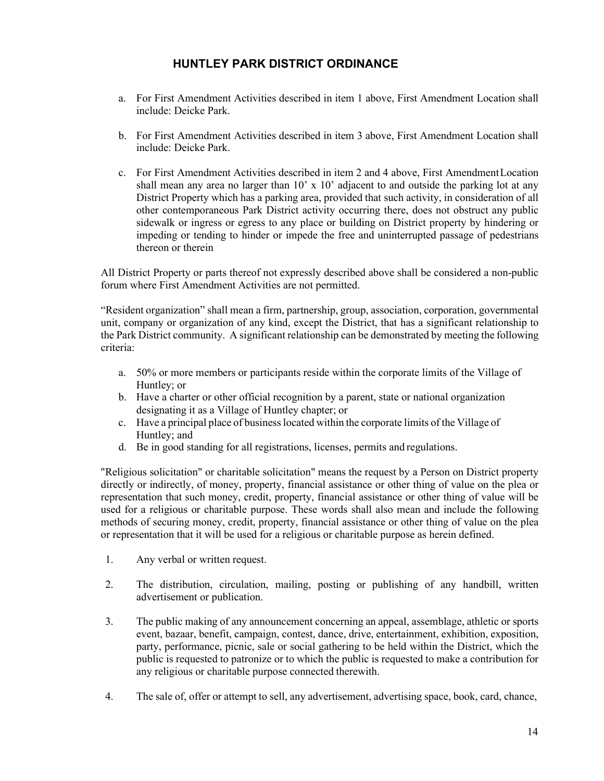- a. For First Amendment Activities described in item 1 above, First Amendment Location shall include: Deicke Park.
- b. For First Amendment Activities described in item 3 above, First Amendment Location shall include: Deicke Park.
- c. For First Amendment Activities described in item 2 and 4 above, First AmendmentLocation shall mean any area no larger than  $10'$  x  $10'$  adjacent to and outside the parking lot at any District Property which has a parking area, provided that such activity, in consideration of all other contemporaneous Park District activity occurring there, does not obstruct any public sidewalk or ingress or egress to any place or building on District property by hindering or impeding or tending to hinder or impede the free and uninterrupted passage of pedestrians thereon or therein

All District Property or parts thereof not expressly described above shall be considered a non-public forum where First Amendment Activities are not permitted.

"Resident organization" shall mean a firm, partnership, group, association, corporation, governmental unit, company or organization of any kind, except the District, that has a significant relationship to the Park District community. A significant relationship can be demonstrated by meeting the following criteria:

- a. 50% or more members or participants reside within the corporate limits of the Village of Huntley; or
- b. Have a charter or other official recognition by a parent, state or national organization designating it as a Village of Huntley chapter; or
- c. Have a principal place of businesslocated within the corporate limits of the Village of Huntley; and
- d. Be in good standing for all registrations, licenses, permits and regulations.

"Religious solicitation" or charitable solicitation" means the request by a Person on District property directly or indirectly, of money, property, financial assistance or other thing of value on the plea or representation that such money, credit, property, financial assistance or other thing of value will be used for a religious or charitable purpose. These words shall also mean and include the following methods of securing money, credit, property, financial assistance or other thing of value on the plea or representation that it will be used for a religious or charitable purpose as herein defined.

- 1. Any verbal or written request.
- 2. The distribution, circulation, mailing, posting or publishing of any handbill, written advertisement or publication.
- 3. The public making of any announcement concerning an appeal, assemblage, athletic or sports event, bazaar, benefit, campaign, contest, dance, drive, entertainment, exhibition, exposition, party, performance, picnic, sale or social gathering to be held within the District, which the public is requested to patronize or to which the public is requested to make a contribution for any religious or charitable purpose connected therewith.
- 4. The sale of, offer or attempt to sell, any advertisement, advertising space, book, card, chance,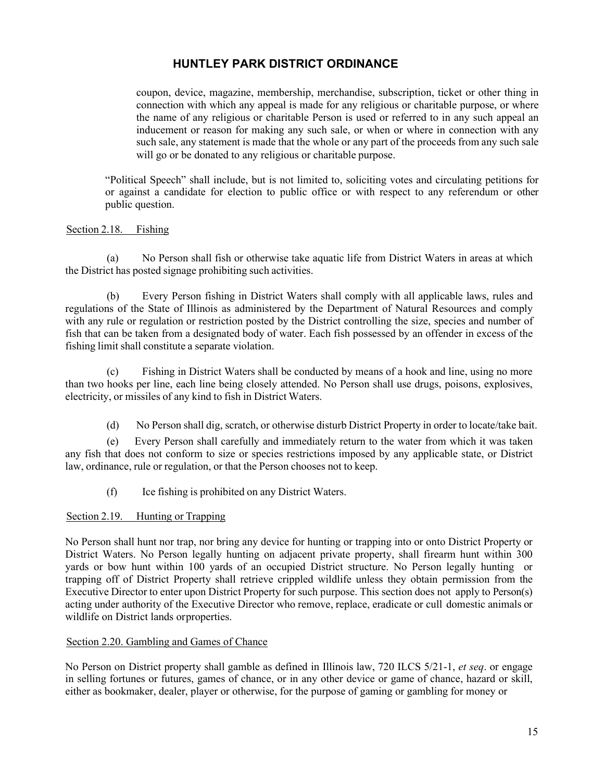coupon, device, magazine, membership, merchandise, subscription, ticket or other thing in connection with which any appeal is made for any religious or charitable purpose, or where the name of any religious or charitable Person is used or referred to in any such appeal an inducement or reason for making any such sale, or when or where in connection with any such sale, any statement is made that the whole or any part of the proceeds from any such sale will go or be donated to any religious or charitable purpose.

"Political Speech" shall include, but is not limited to, soliciting votes and circulating petitions for or against a candidate for election to public office or with respect to any referendum or other public question.

### <span id="page-19-0"></span>Section 2.18. Fishing

(a) No Person shall fish or otherwise take aquatic life from District Waters in areas at which the District has posted signage prohibiting such activities.

(b) Every Person fishing in District Waters shall comply with all applicable laws, rules and regulations of the State of Illinois as administered by the Department of Natural Resources and comply with any rule or regulation or restriction posted by the District controlling the size, species and number of fish that can be taken from a designated body of water. Each fish possessed by an offender in excess of the fishing limit shall constitute a separate violation.

(c) Fishing in District Waters shall be conducted by means of a hook and line, using no more than two hooks per line, each line being closely attended. No Person shall use drugs, poisons, explosives, electricity, or missiles of any kind to fish in District Waters.

(d) No Person shall dig, scratch, or otherwise disturb District Property in order to locate/take bait.

(e) Every Person shall carefully and immediately return to the water from which it was taken any fish that does not conform to size or species restrictions imposed by any applicable state, or District law, ordinance, rule or regulation, or that the Person chooses not to keep.

(f) Ice fishing is prohibited on any District Waters.

### <span id="page-19-1"></span>Section 2.19. Hunting or Trapping

No Person shall hunt nor trap, nor bring any device for hunting or trapping into or onto District Property or District Waters. No Person legally hunting on adjacent private property, shall firearm hunt within 300 yards or bow hunt within 100 yards of an occupied District structure. No Person legally hunting or trapping off of District Property shall retrieve crippled wildlife unless they obtain permission from the Executive Director to enter upon District Property for such purpose. This section does not apply to Person(s) acting under authority of the Executive Director who remove, replace, eradicate or cull domestic animals or wildlife on District lands orproperties.

### <span id="page-19-2"></span>Section 2.20. Gambling and Games of Chance

No Person on District property shall gamble as defined in Illinois law, 720 ILCS 5/21-1, *et seq*. or engage in selling fortunes or futures, games of chance, or in any other device or game of chance, hazard or skill, either as bookmaker, dealer, player or otherwise, for the purpose of gaming or gambling for money or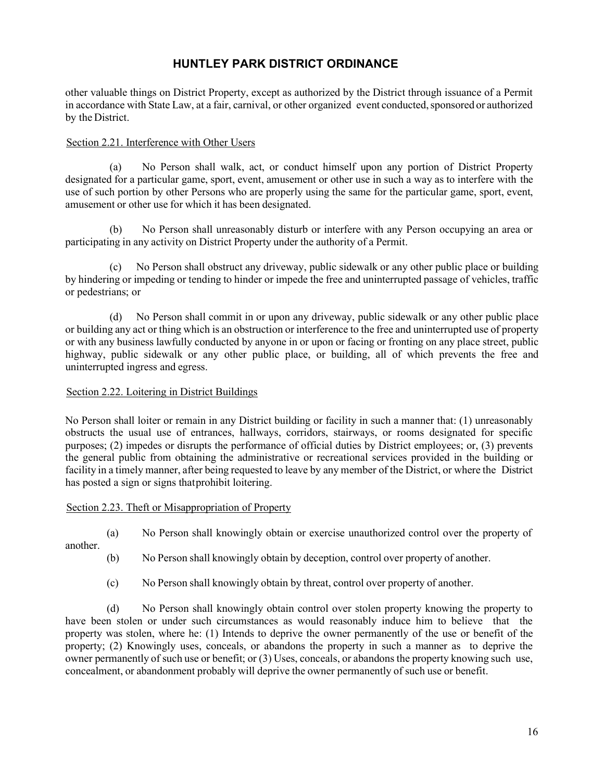other valuable things on District Property, except as authorized by the District through issuance of a Permit in accordance with State Law, at a fair, carnival, or other organized event conducted, sponsored or authorized by the District.

### <span id="page-20-0"></span>Section 2.21. Interference with Other Users

(a) No Person shall walk, act, or conduct himself upon any portion of District Property designated for a particular game, sport, event, amusement or other use in such a way as to interfere with the use of such portion by other Persons who are properly using the same for the particular game, sport, event, amusement or other use for which it has been designated.

(b) No Person shall unreasonably disturb or interfere with any Person occupying an area or participating in any activity on District Property under the authority of a Permit.

(c) No Person shall obstruct any driveway, public sidewalk or any other public place or building by hindering or impeding or tending to hinder or impede the free and uninterrupted passage of vehicles, traffic or pedestrians; or

(d) No Person shall commit in or upon any driveway, public sidewalk or any other public place or building any act or thing which is an obstruction or interference to the free and uninterrupted use of property or with any business lawfully conducted by anyone in or upon or facing or fronting on any place street, public highway, public sidewalk or any other public place, or building, all of which prevents the free and uninterrupted ingress and egress.

### <span id="page-20-1"></span>Section 2.22. Loitering in District Buildings

No Person shall loiter or remain in any District building or facility in such a manner that: (1) unreasonably obstructs the usual use of entrances, hallways, corridors, stairways, or rooms designated for specific purposes; (2) impedes or disrupts the performance of official duties by District employees; or, (3) prevents the general public from obtaining the administrative or recreational services provided in the building or facility in a timely manner, after being requested to leave by any member of the District, or where the District has posted a sign or signs thatprohibit loitering.

### <span id="page-20-2"></span>Section 2.23. Theft or Misappropriation of Property

(a) No Person shall knowingly obtain or exercise unauthorized control over the property of

another.

- (b) No Person shall knowingly obtain by deception, control over property of another.
- (c) No Person shall knowingly obtain by threat, control over property of another.

(d) No Person shall knowingly obtain control over stolen property knowing the property to have been stolen or under such circumstances as would reasonably induce him to believe that the property was stolen, where he: (1) Intends to deprive the owner permanently of the use or benefit of the property; (2) Knowingly uses, conceals, or abandons the property in such a manner as to deprive the owner permanently of such use or benefit; or (3) Uses, conceals, or abandons the property knowing such use, concealment, or abandonment probably will deprive the owner permanently of such use or benefit.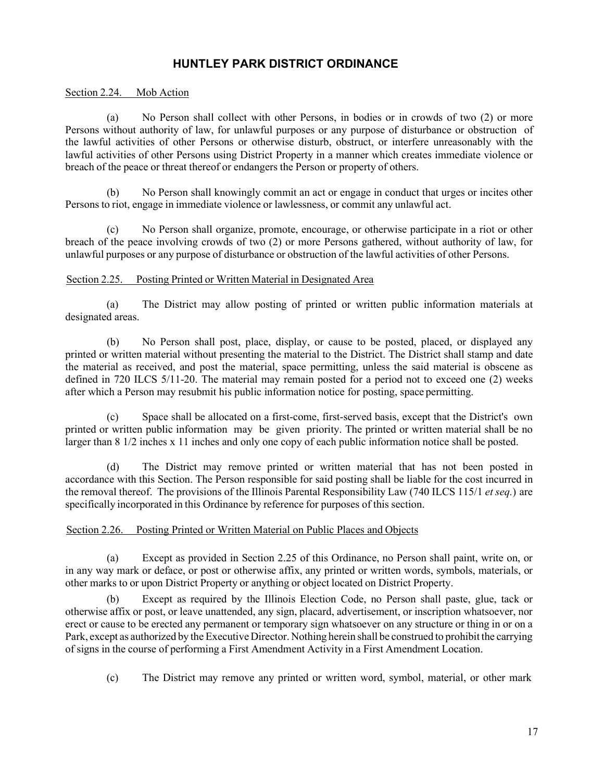### <span id="page-21-0"></span>Section 2.24. Mob Action

(a) No Person shall collect with other Persons, in bodies or in crowds of two (2) or more Persons without authority of law, for unlawful purposes or any purpose of disturbance or obstruction of the lawful activities of other Persons or otherwise disturb, obstruct, or interfere unreasonably with the lawful activities of other Persons using District Property in a manner which creates immediate violence or breach of the peace or threat thereof or endangers the Person or property of others.

(b) No Person shall knowingly commit an act or engage in conduct that urges or incites other Persons to riot, engage in immediate violence or lawlessness, or commit any unlawful act.

(c) No Person shall organize, promote, encourage, or otherwise participate in a riot or other breach of the peace involving crowds of two (2) or more Persons gathered, without authority of law, for unlawful purposes or any purpose of disturbance or obstruction of the lawful activities of other Persons.

### <span id="page-21-1"></span>Section 2.25. Posting Printed or Written Material in Designated Area

(a) The District may allow posting of printed or written public information materials at designated areas.

(b) No Person shall post, place, display, or cause to be posted, placed, or displayed any printed or written material without presenting the material to the District. The District shall stamp and date the material as received, and post the material, space permitting, unless the said material is obscene as defined in 720 ILCS 5/11-20. The material may remain posted for a period not to exceed one (2) weeks after which a Person may resubmit his public information notice for posting, space permitting.

(c) Space shall be allocated on a first-come, first-served basis, except that the District's own printed or written public information may be given priority. The printed or written material shall be no larger than 8 1/2 inches x 11 inches and only one copy of each public information notice shall be posted.

(d) The District may remove printed or written material that has not been posted in accordance with this Section. The Person responsible for said posting shall be liable for the cost incurred in the removal thereof. The provisions of the Illinois Parental Responsibility Law (740 ILCS 115/1 *et seq.*) are specifically incorporated in this Ordinance by reference for purposes of this section.

### <span id="page-21-2"></span>Section 2.26. Posting Printed or Written Material on Public Places and Objects

(a) Except as provided in Section 2.25 of this Ordinance, no Person shall paint, write on, or in any way mark or deface, or post or otherwise affix, any printed or written words, symbols, materials, or other marks to or upon District Property or anything or object located on District Property.

(b) Except as required by the Illinois Election Code, no Person shall paste, glue, tack or otherwise affix or post, or leave unattended, any sign, placard, advertisement, or inscription whatsoever, nor erect or cause to be erected any permanent or temporary sign whatsoever on any structure or thing in or on a Park, except as authorized by the Executive Director. Nothing herein shall be construed to prohibit the carrying of signs in the course of performing a First Amendment Activity in a First Amendment Location.

(c) The District may remove any printed or written word, symbol, material, or other mark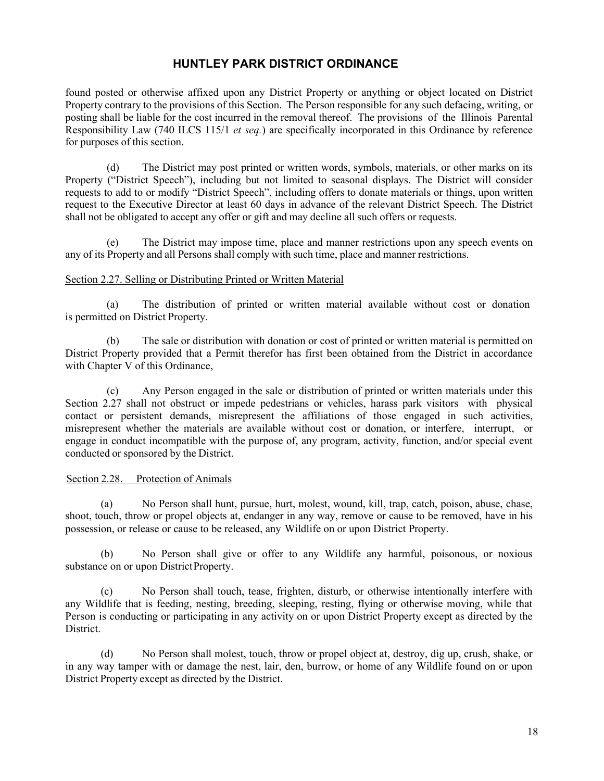found posted or otherwise affixed upon any District Property or anything or object located on District Property contrary to the provisions of this Section. The Person responsible for any such defacing, writing, or posting shall be liable for the cost incurred in the removal thereof. The provisions of the Illinois Parental Responsibility Law (740 ILCS 115/1 *et seq.*) are specifically incorporated in this Ordinance by reference for purposes of this section.

(d) The District may post printed or written words, symbols, materials, or other marks on its Property ("District Speech"), including but not limited to seasonal displays. The District will consider requests to add to or modify "District Speech", including offers to donate materials or things, upon written request to the Executive Director at least 60 days in advance of the relevant District Speech. The District shall not be obligated to accept any offer or gift and may decline all such offers or requests.

(e) The District may impose time, place and manner restrictions upon any speech events on any of its Property and all Persons shall comply with such time, place and manner restrictions.

### <span id="page-22-0"></span>Section 2.27. Selling or Distributing Printed or Written Material

(a) The distribution of printed or written material available without cost or donation is permitted on District Property.

(b) The sale or distribution with donation or cost of printed or written material is permitted on District Property provided that a Permit therefor has first been obtained from the District in accordance with Chapter V of this Ordinance,

(c) Any Person engaged in the sale or distribution of printed or written materials under this Section 2.27 shall not obstruct or impede pedestrians or vehicles, harass park visitors with physical contact or persistent demands, misrepresent the affiliations of those engaged in such activities, misrepresent whether the materials are available without cost or donation, or interfere, interrupt, or engage in conduct incompatible with the purpose of, any program, activity, function, and/or special event conducted or sponsored by the District.

### <span id="page-22-1"></span>Section 2.28. Protection of Animals

(a) No Person shall hunt, pursue, hurt, molest, wound, kill, trap, catch, poison, abuse, chase, shoot, touch, throw or propel objects at, endanger in any way, remove or cause to be removed, have in his possession, or release or cause to be released, any Wildlife on or upon District Property.

(b) No Person shall give or offer to any Wildlife any harmful, poisonous, or noxious substance on or upon District Property.

(c) No Person shall touch, tease, frighten, disturb, or otherwise intentionally interfere with any Wildlife that is feeding, nesting, breeding, sleeping, resting, flying or otherwise moving, while that Person is conducting or participating in any activity on or upon District Property except as directed by the District.

(d) No Person shall molest, touch, throw or propel object at, destroy, dig up, crush, shake, or in any way tamper with or damage the nest, lair, den, burrow, or home of any Wildlife found on or upon District Property except as directed by the District.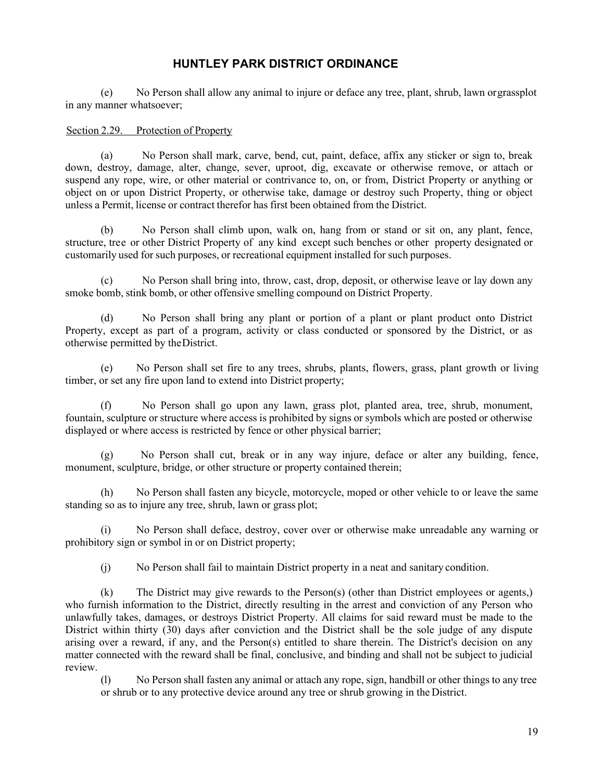(e) No Person shall allow any animal to injure or deface any tree, plant, shrub, lawn orgrassplot in any manner whatsoever;

#### <span id="page-23-0"></span>Section 2.29. Protection of Property

(a) No Person shall mark, carve, bend, cut, paint, deface, affix any sticker or sign to, break down, destroy, damage, alter, change, sever, uproot, dig, excavate or otherwise remove, or attach or suspend any rope, wire, or other material or contrivance to, on, or from, District Property or anything or object on or upon District Property, or otherwise take, damage or destroy such Property, thing or object unless a Permit, license or contract therefor has first been obtained from the District.

(b) No Person shall climb upon, walk on, hang from or stand or sit on, any plant, fence, structure, tree or other District Property of any kind except such benches or other property designated or customarily used for such purposes, or recreational equipment installed for such purposes.

(c) No Person shall bring into, throw, cast, drop, deposit, or otherwise leave or lay down any smoke bomb, stink bomb, or other offensive smelling compound on District Property.

(d) No Person shall bring any plant or portion of a plant or plant product onto District Property, except as part of a program, activity or class conducted or sponsored by the District, or as otherwise permitted by theDistrict.

(e) No Person shall set fire to any trees, shrubs, plants, flowers, grass, plant growth or living timber, or set any fire upon land to extend into District property;

(f) No Person shall go upon any lawn, grass plot, planted area, tree, shrub, monument, fountain, sculpture or structure where access is prohibited by signs or symbols which are posted or otherwise displayed or where access is restricted by fence or other physical barrier;

No Person shall cut, break or in any way injure, deface or alter any building, fence, monument, sculpture, bridge, or other structure or property contained therein;

(h) No Person shall fasten any bicycle, motorcycle, moped or other vehicle to or leave the same standing so as to injure any tree, shrub, lawn or grass plot;

(i) No Person shall deface, destroy, cover over or otherwise make unreadable any warning or prohibitory sign or symbol in or on District property;

(j) No Person shall fail to maintain District property in a neat and sanitary condition.

(k) The District may give rewards to the Person(s) (other than District employees or agents,) who furnish information to the District, directly resulting in the arrest and conviction of any Person who unlawfully takes, damages, or destroys District Property. All claims for said reward must be made to the District within thirty (30) days after conviction and the District shall be the sole judge of any dispute arising over a reward, if any, and the Person(s) entitled to share therein. The District's decision on any matter connected with the reward shall be final, conclusive, and binding and shall not be subject to judicial review.

<span id="page-23-1"></span>(l) No Person shall fasten any animal or attach any rope, sign, handbill or other things to any tree or shrub or to any protective device around any tree or shrub growing in the District.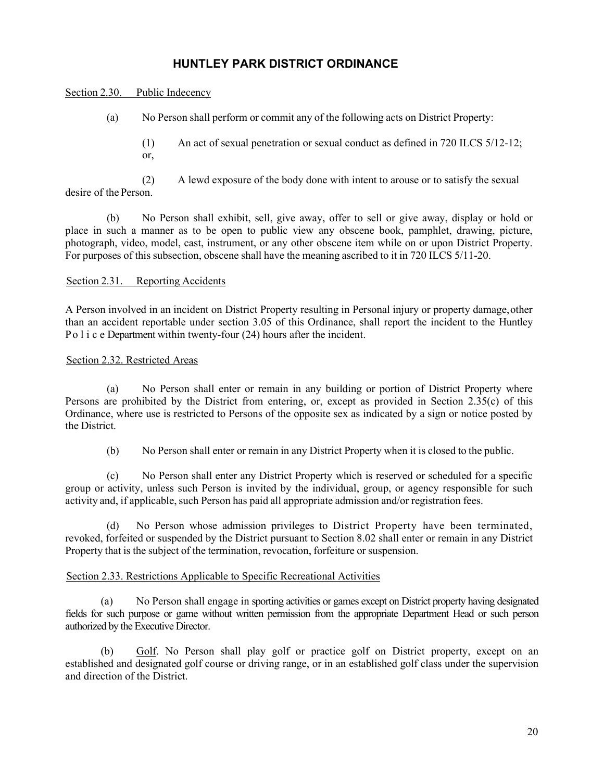#### Section 2.30. Public Indecency

- (a) No Person shall perform or commit any of the following acts on District Property:
	- (1) An act of sexual penetration or sexual conduct as defined in 720 ILCS 5/12-12; or,

(2) A lewd exposure of the body done with intent to arouse or to satisfy the sexual desire of the Person.

(b) No Person shall exhibit, sell, give away, offer to sell or give away, display or hold or place in such a manner as to be open to public view any obscene book, pamphlet, drawing, picture, photograph, video, model, cast, instrument, or any other obscene item while on or upon District Property. For purposes of this subsection, obscene shall have the meaning ascribed to it in 720 ILCS 5/11-20.

#### <span id="page-24-0"></span>Section 2.31. Reporting Accidents

A Person involved in an incident on District Property resulting in Personal injury or property damage,other than an accident reportable under section 3.05 of this Ordinance, shall report the incident to the Huntley Po l i c e Department within twenty-four (24) hours after the incident.

#### <span id="page-24-1"></span>Section 2.32. Restricted Areas

(a) No Person shall enter or remain in any building or portion of District Property where Persons are prohibited by the District from entering, or, except as provided in Section 2.35(c) of this Ordinance, where use is restricted to Persons of the opposite sex as indicated by a sign or notice posted by the District.

(b) No Person shall enter or remain in any District Property when it is closed to the public.

(c) No Person shall enter any District Property which is reserved or scheduled for a specific group or activity, unless such Person is invited by the individual, group, or agency responsible for such activity and, if applicable, such Person has paid all appropriate admission and/or registration fees.

(d) No Person whose admission privileges to District Property have been terminated, revoked, forfeited or suspended by the District pursuant to Section 8.02 shall enter or remain in any District Property that is the subject of the termination, revocation, forfeiture or suspension.

### <span id="page-24-2"></span>Section 2.33. Restrictions Applicable to Specific Recreational Activities

(a) No Person shall engage in sporting activities or games except on District property having designated fields for such purpose or game without written permission from the appropriate Department Head or such person authorized by the Executive Director.

(b) Golf. No Person shall play golf or practice golf on District property, except on an established and designated golf course or driving range, or in an established golf class under the supervision and direction of the District.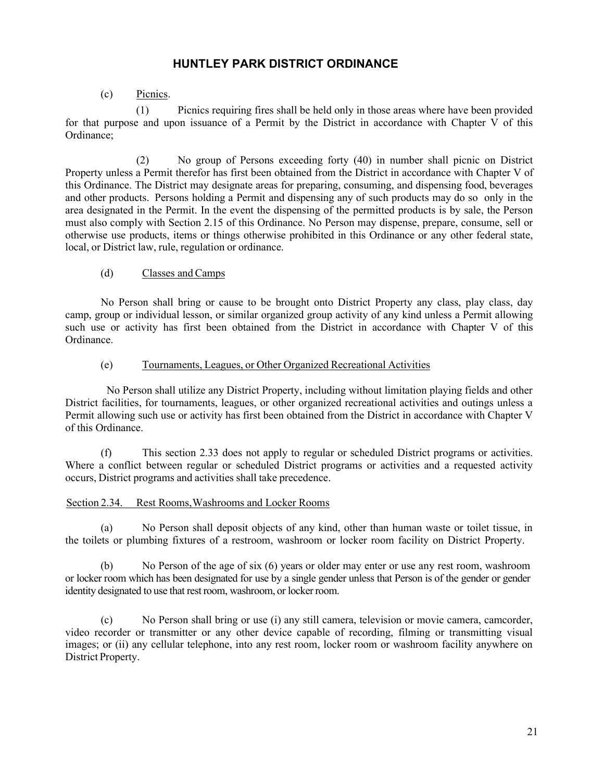### (c) Picnics.

<span id="page-25-1"></span>(1) Picnics requiring fires shall be held only in those areas where have been provided for that purpose and upon issuance of a Permit by the District in accordance with Chapter V of this Ordinance;

(2) No group of Persons exceeding forty (40) in number shall picnic on District Property unless a Permit therefor has first been obtained from the District in accordance with Chapter V of this Ordinance. The District may designate areas for preparing, consuming, and dispensing food, beverages and other products. Persons holding a Permit and dispensing any of such products may do so only in the area designated in the Permit. In the event the dispensing of the permitted products is by sale, the Person must also comply with Section 2.15 of this Ordinance. No Person may dispense, prepare, consume, sell or otherwise use products, items or things otherwise prohibited in this Ordinance or any other federal state, local, or District law, rule, regulation or ordinance.

### (d) Classes andCamps

No Person shall bring or cause to be brought onto District Property any class, play class, day camp, group or individual lesson, or similar organized group activity of any kind unless a Permit allowing such use or activity has first been obtained from the District in accordance with Chapter V of this Ordinance.

### (e) Tournaments, Leagues, or Other Organized Recreational Activities

No Person shall utilize any District Property, including without limitation playing fields and other District facilities, for tournaments, leagues, or other organized recreational activities and outings unless a Permit allowing such use or activity has first been obtained from the District in accordance with Chapter V of this Ordinance.

(f) This section 2.33 does not apply to regular or scheduled District programs or activities. Where a conflict between regular or scheduled District programs or activities and a requested activity occurs, District programs and activities shall take precedence.

### <span id="page-25-0"></span>Section 2.34. Rest Rooms,Washrooms and Locker Rooms

(a) No Person shall deposit objects of any kind, other than human waste or toilet tissue, in the toilets or plumbing fixtures of a restroom, washroom or locker room facility on District Property.

(b) No Person of the age of six (6) years or older may enter or use any rest room, washroom or locker room which has been designated for use by a single gender unless that Person is of the gender or gender identity designated to use that rest room, washroom, or locker room.

(c) No Person shall bring or use (i) any still camera, television or movie camera, camcorder, video recorder or transmitter or any other device capable of recording, filming or transmitting visual images; or (ii) any cellular telephone, into any rest room, locker room or washroom facility anywhere on District Property.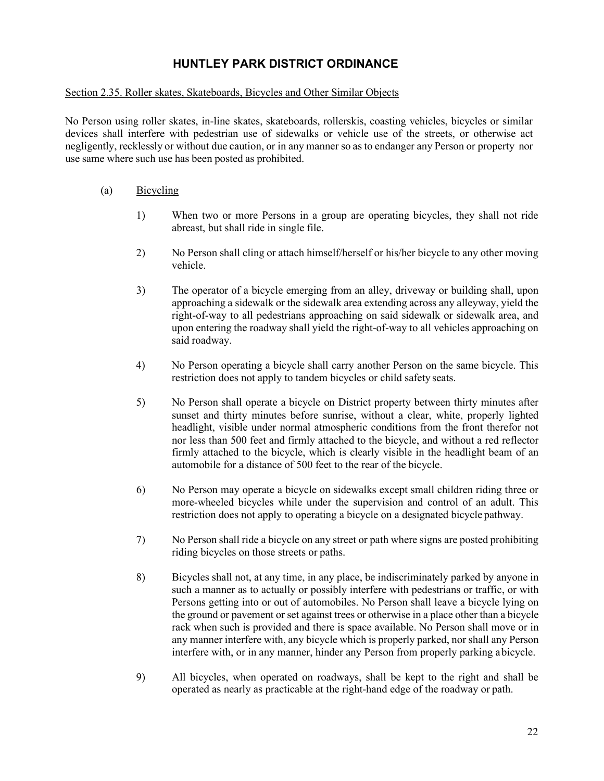### Section 2.35. Roller skates, Skateboards, Bicycles and Other Similar Objects

No Person using roller skates, in-line skates, skateboards, rollerskis, coasting vehicles, bicycles or similar devices shall interfere with pedestrian use of sidewalks or vehicle use of the streets, or otherwise act negligently, recklessly or without due caution, or in any manner so as to endanger any Person or property nor use same where such use has been posted as prohibited.

### (a) Bicycling

- 1) When two or more Persons in a group are operating bicycles, they shall not ride abreast, but shall ride in single file.
- 2) No Person shall cling or attach himself/herself or his/her bicycle to any other moving vehicle.
- 3) The operator of a bicycle emerging from an alley, driveway or building shall, upon approaching a sidewalk or the sidewalk area extending across any alleyway, yield the right-of-way to all pedestrians approaching on said sidewalk or sidewalk area, and upon entering the roadway shall yield the right-of-way to all vehicles approaching on said roadway.
- 4) No Person operating a bicycle shall carry another Person on the same bicycle. This restriction does not apply to tandem bicycles or child safety seats.
- 5) No Person shall operate a bicycle on District property between thirty minutes after sunset and thirty minutes before sunrise, without a clear, white, properly lighted headlight, visible under normal atmospheric conditions from the front therefor not nor less than 500 feet and firmly attached to the bicycle, and without a red reflector firmly attached to the bicycle, which is clearly visible in the headlight beam of an automobile for a distance of 500 feet to the rear of the bicycle.
- 6) No Person may operate a bicycle on sidewalks except small children riding three or more-wheeled bicycles while under the supervision and control of an adult. This restriction does not apply to operating a bicycle on a designated bicycle pathway.
- 7) No Person shall ride a bicycle on any street or path where signs are posted prohibiting riding bicycles on those streets or paths.
- 8) Bicycles shall not, at any time, in any place, be indiscriminately parked by anyone in such a manner as to actually or possibly interfere with pedestrians or traffic, or with Persons getting into or out of automobiles. No Person shall leave a bicycle lying on the ground or pavement or set against trees or otherwise in a place other than a bicycle rack when such is provided and there is space available. No Person shall move or in any manner interfere with, any bicycle which is properly parked, nor shall any Person interfere with, or in any manner, hinder any Person from properly parking abicycle.
- 9) All bicycles, when operated on roadways, shall be kept to the right and shall be operated as nearly as practicable at the right-hand edge of the roadway or path.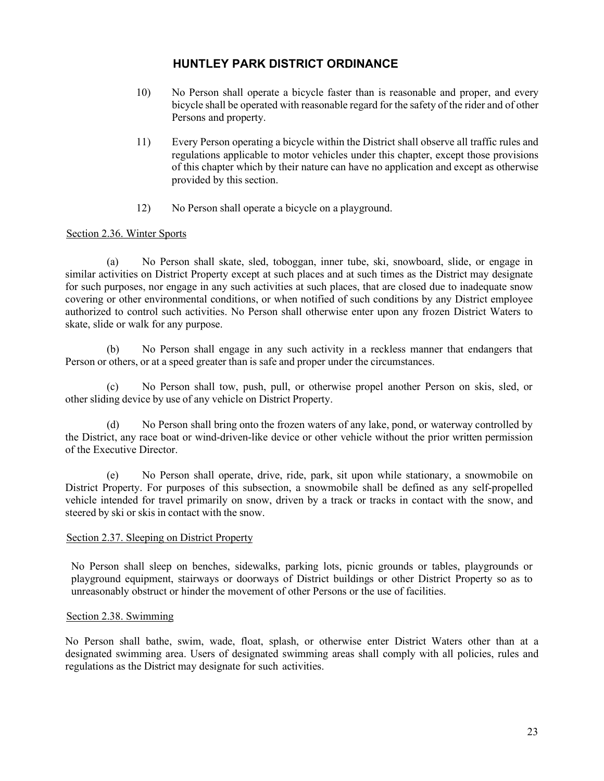- 10) No Person shall operate a bicycle faster than is reasonable and proper, and every bicycle shall be operated with reasonable regard for the safety of the rider and of other Persons and property.
- 11) Every Person operating a bicycle within the District shall observe all traffic rules and regulations applicable to motor vehicles under this chapter, except those provisions of this chapter which by their nature can have no application and except as otherwise provided by this section.
- 12) No Person shall operate a bicycle on a playground.

### <span id="page-27-0"></span>Section 2.36. Winter Sports

(a) No Person shall skate, sled, toboggan, inner tube, ski, snowboard, slide, or engage in similar activities on District Property except at such places and at such times as the District may designate for such purposes, nor engage in any such activities at such places, that are closed due to inadequate snow covering or other environmental conditions, or when notified of such conditions by any District employee authorized to control such activities. No Person shall otherwise enter upon any frozen District Waters to skate, slide or walk for any purpose.

(b) No Person shall engage in any such activity in a reckless manner that endangers that Person or others, or at a speed greater than is safe and proper under the circumstances.

(c) No Person shall tow, push, pull, or otherwise propel another Person on skis, sled, or other sliding device by use of any vehicle on District Property.

(d) No Person shall bring onto the frozen waters of any lake, pond, or waterway controlled by the District, any race boat or wind-driven-like device or other vehicle without the prior written permission of the Executive Director.

(e) No Person shall operate, drive, ride, park, sit upon while stationary, a snowmobile on District Property. For purposes of this subsection, a snowmobile shall be defined as any self-propelled vehicle intended for travel primarily on snow, driven by a track or tracks in contact with the snow, and steered by ski or skis in contact with the snow.

### <span id="page-27-1"></span>Section 2.37. Sleeping on District Property

No Person shall sleep on benches, sidewalks, parking lots, picnic grounds or tables, playgrounds or playground equipment, stairways or doorways of District buildings or other District Property so as to unreasonably obstruct or hinder the movement of other Persons or the use of facilities.

### <span id="page-27-2"></span>Section 2.38. Swimming

No Person shall bathe, swim, wade, float, splash, or otherwise enter District Waters other than at a designated swimming area. Users of designated swimming areas shall comply with all policies, rules and regulations as the District may designate for such activities.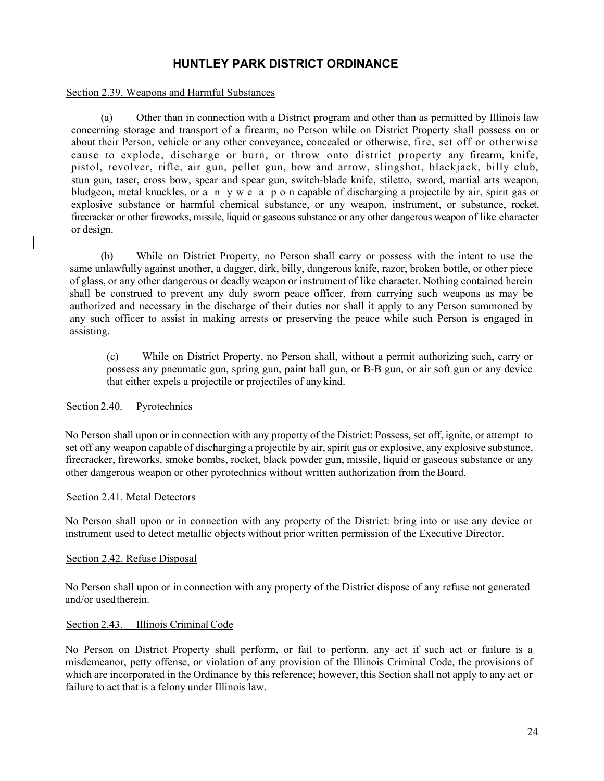#### <span id="page-28-0"></span>Section 2.39. Weapons and Harmful Substances

(a) Other than in connection with a District program and other than as permitted by Illinois law concerning storage and transport of a firearm, no Person while on District Property shall possess on or about their Person, vehicle or any other conveyance, concealed or otherwise, fire, set off or otherwise cause to explode, discharge or burn, or throw onto district property any firearm, knife, pistol, revolver, rifle, air gun, pellet gun, bow and arrow, slingshot, blackjack, billy club, stun gun, taser, cross bow, spear and spear gun, switch-blade knife, stiletto, sword, martial arts weapon, bludgeon, metal knuckles, or a n y w e a p o n capable of discharging a projectile by air, spirit gas or explosive substance or harmful chemical substance, or any weapon, instrument, or substance, rocket, firecracker or other fireworks, missile, liquid or gaseous substance or any other dangerous weapon of like character or design.

(b) While on District Property, no Person shall carry or possess with the intent to use the same unlawfully against another, a dagger, dirk, billy, dangerous knife, razor, broken bottle, or other piece of glass, or any other dangerous or deadly weapon or instrument of like character. Nothing contained herein shall be construed to prevent any duly sworn peace officer, from carrying such weapons as may be authorized and necessary in the discharge of their duties nor shall it apply to any Person summoned by any such officer to assist in making arrests or preserving the peace while such Person is engaged in assisting.

(c) While on District Property, no Person shall, without a permit authorizing such, carry or possess any pneumatic gun, spring gun, paint ball gun, or B-B gun, or air soft gun or any device that either expels a projectile or projectiles of any kind.

### <span id="page-28-1"></span>Section 2.40. Pyrotechnics

No Person shall upon or in connection with any property of the District: Possess, set off, ignite, or attempt to set off any weapon capable of discharging a projectile by air, spirit gas or explosive, any explosive substance, firecracker, fireworks, smoke bombs, rocket, black powder gun, missile, liquid or gaseous substance or any other dangerous weapon or other pyrotechnics without written authorization from theBoard.

### <span id="page-28-2"></span>Section 2.41. Metal Detectors

No Person shall upon or in connection with any property of the District: bring into or use any device or instrument used to detect metallic objects without prior written permission of the Executive Director.

### <span id="page-28-3"></span>Section 2.42. Refuse Disposal

No Person shall upon or in connection with any property of the District dispose of any refuse not generated and/or usedtherein.

### <span id="page-28-4"></span>Section 2.43. Illinois Criminal Code

No Person on District Property shall perform, or fail to perform, any act if such act or failure is a misdemeanor, petty offense, or violation of any provision of the Illinois Criminal Code, the provisions of which are incorporated in the Ordinance by this reference; however, this Section shall not apply to any act or failure to act that is a felony under Illinois law.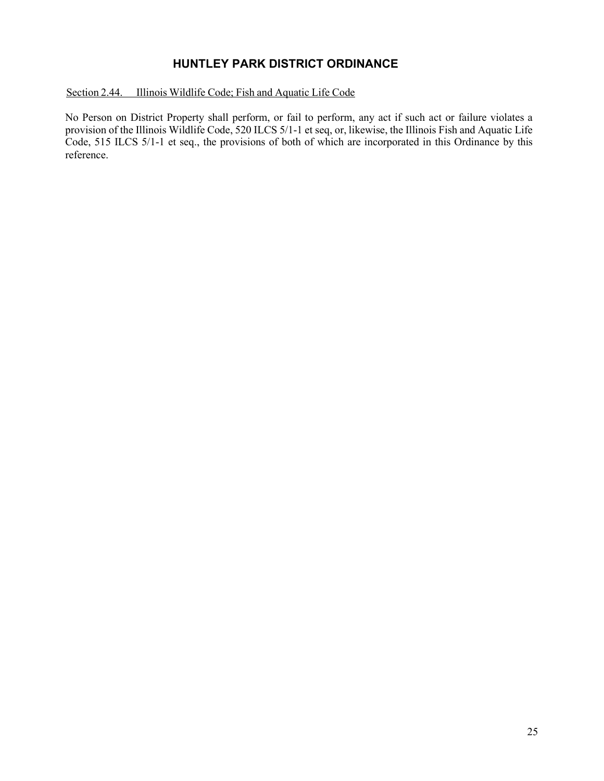### <span id="page-29-0"></span>Section 2.44. Illinois Wildlife Code; Fish and Aquatic Life Code

No Person on District Property shall perform, or fail to perform, any act if such act or failure violates a provision of the Illinois Wildlife Code, 520 ILCS 5/1-1 et seq, or, likewise, the Illinois Fish and Aquatic Life Code, 515 ILCS 5/1-1 et seq., the provisions of both of which are incorporated in this Ordinance by this reference.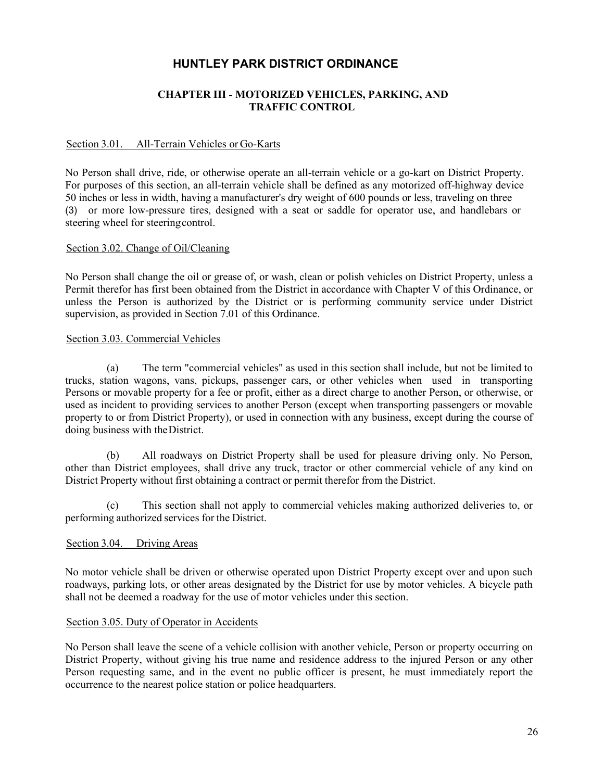### **CHAPTER III - MOTORIZED VEHICLES, PARKING, AND TRAFFIC CONTROL**

### <span id="page-30-1"></span><span id="page-30-0"></span>Section 3.01. All-Terrain Vehicles or Go-Karts

No Person shall drive, ride, or otherwise operate an all-terrain vehicle or a go-kart on District Property. For purposes of this section, an all-terrain vehicle shall be defined as any motorized off-highway device 50 inches or less in width, having a manufacturer's dry weight of 600 pounds or less, traveling on three (3) or more low-pressure tires, designed with a seat or saddle for operator use, and handlebars or steering wheel for steeringcontrol.

### <span id="page-30-2"></span>Section 3.02. Change of Oil/Cleaning

No Person shall change the oil or grease of, or wash, clean or polish vehicles on District Property, unless a Permit therefor has first been obtained from the District in accordance with Chapter V of this Ordinance, or unless the Person is authorized by the District or is performing community service under District supervision, as provided in Section 7.01 of this Ordinance.

### <span id="page-30-3"></span>Section 3.03. Commercial Vehicles

(a) The term "commercial vehicles" as used in this section shall include, but not be limited to trucks, station wagons, vans, pickups, passenger cars, or other vehicles when used in transporting Persons or movable property for a fee or profit, either as a direct charge to another Person, or otherwise, or used as incident to providing services to another Person (except when transporting passengers or movable property to or from District Property), or used in connection with any business, except during the course of doing business with theDistrict.

(b) All roadways on District Property shall be used for pleasure driving only. No Person, other than District employees, shall drive any truck, tractor or other commercial vehicle of any kind on District Property without first obtaining a contract or permit therefor from the District.

(c) This section shall not apply to commercial vehicles making authorized deliveries to, or performing authorized services for the District.

### <span id="page-30-4"></span>Section 3.04. Driving Areas

No motor vehicle shall be driven or otherwise operated upon District Property except over and upon such roadways, parking lots, or other areas designated by the District for use by motor vehicles. A bicycle path shall not be deemed a roadway for the use of motor vehicles under this section.

#### <span id="page-30-5"></span>Section 3.05. Duty of Operator in Accidents

No Person shall leave the scene of a vehicle collision with another vehicle, Person or property occurring on District Property, without giving his true name and residence address to the injured Person or any other Person requesting same, and in the event no public officer is present, he must immediately report the occurrence to the nearest police station or police headquarters.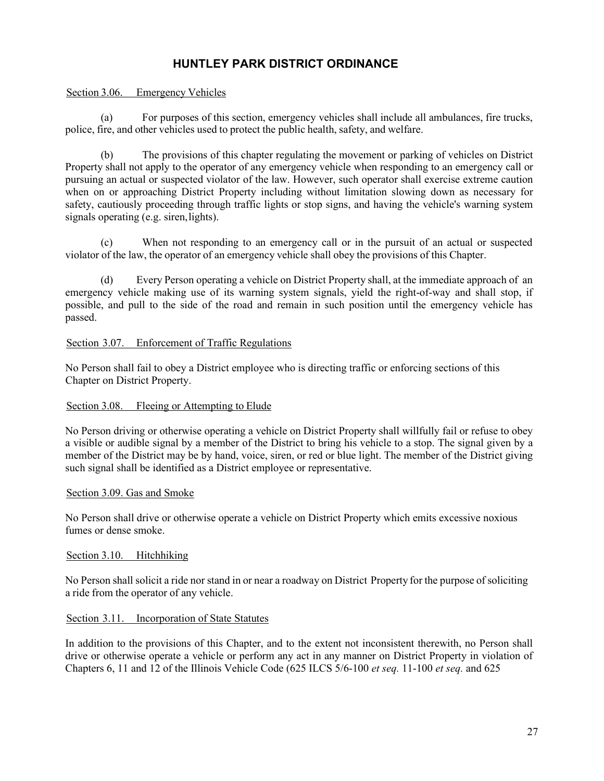### <span id="page-31-0"></span>Section 3.06. Emergency Vehicles

(a) For purposes of this section, emergency vehicles shall include all ambulances, fire trucks, police, fire, and other vehicles used to protect the public health, safety, and welfare.

(b) The provisions of this chapter regulating the movement or parking of vehicles on District Property shall not apply to the operator of any emergency vehicle when responding to an emergency call or pursuing an actual or suspected violator of the law. However, such operator shall exercise extreme caution when on or approaching District Property including without limitation slowing down as necessary for safety, cautiously proceeding through traffic lights or stop signs, and having the vehicle's warning system signals operating (e.g. siren, lights).

(c) When not responding to an emergency call or in the pursuit of an actual or suspected violator of the law, the operator of an emergency vehicle shall obey the provisions of this Chapter.

(d) Every Person operating a vehicle on District Property shall, at the immediate approach of an emergency vehicle making use of its warning system signals, yield the right-of-way and shall stop, if possible, and pull to the side of the road and remain in such position until the emergency vehicle has passed.

### <span id="page-31-1"></span>Section 3.07. Enforcement of Traffic Regulations

No Person shall fail to obey a District employee who is directing traffic or enforcing sections of this Chapter on District Property.

### <span id="page-31-2"></span>Section 3.08. Fleeing or Attempting to Elude

No Person driving or otherwise operating a vehicle on District Property shall willfully fail or refuse to obey a visible or audible signal by a member of the District to bring his vehicle to a stop. The signal given by a member of the District may be by hand, voice, siren, or red or blue light. The member of the District giving such signal shall be identified as a District employee or representative.

### <span id="page-31-3"></span>Section 3.09. Gas and Smoke

No Person shall drive or otherwise operate a vehicle on District Property which emits excessive noxious fumes or dense smoke.

### <span id="page-31-4"></span>Section 3.10. Hitchhiking

No Person shall solicit a ride nor stand in or near a roadway on District Property for the purpose of soliciting a ride from the operator of any vehicle.

### <span id="page-31-5"></span>Section 3.11. Incorporation of State Statutes

In addition to the provisions of this Chapter, and to the extent not inconsistent therewith, no Person shall drive or otherwise operate a vehicle or perform any act in any manner on District Property in violation of Chapters 6, 11 and 12 of the Illinois Vehicle Code (625 ILCS 5/6-100 *et seq.* 11-100 *et seq.* and 625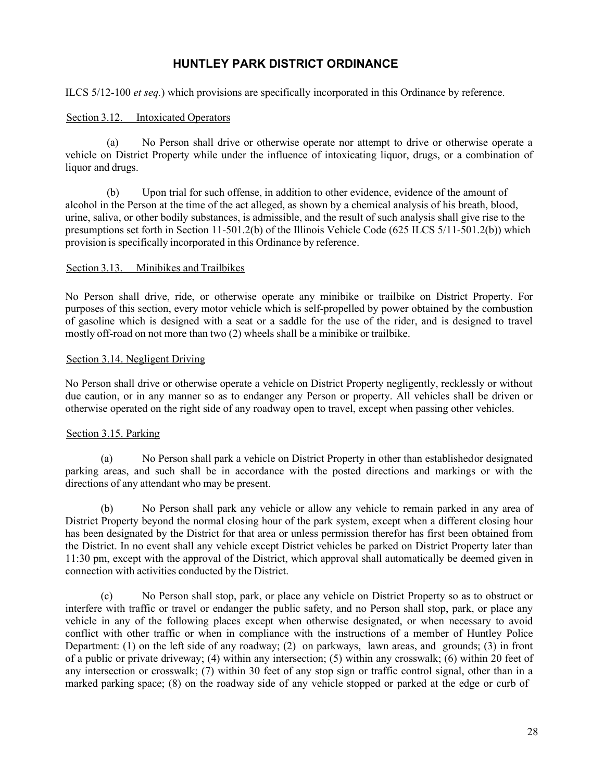<span id="page-32-0"></span>ILCS 5/12-100 *et seq.*) which provisions are specifically incorporated in this Ordinance by reference.

### Section 3.12. Intoxicated Operators

(a) No Person shall drive or otherwise operate nor attempt to drive or otherwise operate a vehicle on District Property while under the influence of intoxicating liquor, drugs, or a combination of liquor and drugs.

(b) Upon trial for such offense, in addition to other evidence, evidence of the amount of alcohol in the Person at the time of the act alleged, as shown by a chemical analysis of his breath, blood, urine, saliva, or other bodily substances, is admissible, and the result of such analysis shall give rise to the presumptions set forth in Section 11-501.2(b) of the Illinois Vehicle Code (625 ILCS 5/11-501.2(b)) which provision is specifically incorporated in this Ordinance by reference.

### <span id="page-32-1"></span>Section 3.13. Minibikes and Trailbikes

No Person shall drive, ride, or otherwise operate any minibike or trailbike on District Property. For purposes of this section, every motor vehicle which is self-propelled by power obtained by the combustion of gasoline which is designed with a seat or a saddle for the use of the rider, and is designed to travel mostly off-road on not more than two (2) wheels shall be a minibike or trailbike.

### <span id="page-32-2"></span>Section 3.14. Negligent Driving

No Person shall drive or otherwise operate a vehicle on District Property negligently, recklessly or without due caution, or in any manner so as to endanger any Person or property. All vehicles shall be driven or otherwise operated on the right side of any roadway open to travel, except when passing other vehicles.

### <span id="page-32-3"></span>Section 3.15. Parking

(a) No Person shall park a vehicle on District Property in other than establishedor designated parking areas, and such shall be in accordance with the posted directions and markings or with the directions of any attendant who may be present.

(b) No Person shall park any vehicle or allow any vehicle to remain parked in any area of District Property beyond the normal closing hour of the park system, except when a different closing hour has been designated by the District for that area or unless permission therefor has first been obtained from the District. In no event shall any vehicle except District vehicles be parked on District Property later than 11:30 pm, except with the approval of the District, which approval shall automatically be deemed given in connection with activities conducted by the District.

(c) No Person shall stop, park, or place any vehicle on District Property so as to obstruct or interfere with traffic or travel or endanger the public safety, and no Person shall stop, park, or place any vehicle in any of the following places except when otherwise designated, or when necessary to avoid conflict with other traffic or when in compliance with the instructions of a member of Huntley Police Department: (1) on the left side of any roadway; (2) on parkways, lawn areas, and grounds; (3) in front of a public or private driveway; (4) within any intersection; (5) within any crosswalk; (6) within 20 feet of any intersection or crosswalk; (7) within 30 feet of any stop sign or traffic control signal, other than in a marked parking space; (8) on the roadway side of any vehicle stopped or parked at the edge or curb of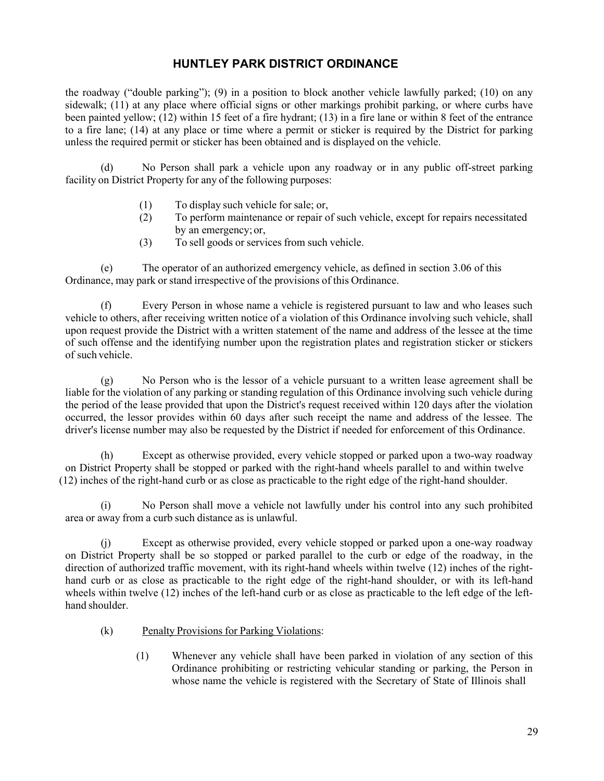the roadway ("double parking"); (9) in a position to block another vehicle lawfully parked; (10) on any sidewalk; (11) at any place where official signs or other markings prohibit parking, or where curbs have been painted yellow; (12) within 15 feet of a fire hydrant; (13) in a fire lane or within 8 feet of the entrance to a fire lane; (14) at any place or time where a permit or sticker is required by the District for parking unless the required permit or sticker has been obtained and is displayed on the vehicle.

(d) No Person shall park a vehicle upon any roadway or in any public off-street parking facility on District Property for any of the following purposes:

- (1) To display such vehicle for sale; or,
- (2) To perform maintenance or repair of such vehicle, except for repairs necessitated by an emergency;or,
- (3) To sell goods or services from such vehicle.

(e) The operator of an authorized emergency vehicle, as defined in section 3.06 of this Ordinance, may park or stand irrespective of the provisions of this Ordinance.

(f) Every Person in whose name a vehicle is registered pursuant to law and who leases such vehicle to others, after receiving written notice of a violation of this Ordinance involving such vehicle, shall upon request provide the District with a written statement of the name and address of the lessee at the time of such offense and the identifying number upon the registration plates and registration sticker or stickers of such vehicle.

(g) No Person who is the lessor of a vehicle pursuant to a written lease agreement shall be liable for the violation of any parking or standing regulation of this Ordinance involving such vehicle during the period of the lease provided that upon the District's request received within 120 days after the violation occurred, the lessor provides within 60 days after such receipt the name and address of the lessee. The driver's license number may also be requested by the District if needed for enforcement of this Ordinance.

(h) Except as otherwise provided, every vehicle stopped or parked upon a two-way roadway on District Property shall be stopped or parked with the right-hand wheels parallel to and within twelve (12) inches of the right-hand curb or as close as practicable to the right edge of the right-hand shoulder.

(i) No Person shall move a vehicle not lawfully under his control into any such prohibited area or away from a curb such distance as is unlawful.

(j) Except as otherwise provided, every vehicle stopped or parked upon a one-way roadway on District Property shall be so stopped or parked parallel to the curb or edge of the roadway, in the direction of authorized traffic movement, with its right-hand wheels within twelve (12) inches of the righthand curb or as close as practicable to the right edge of the right-hand shoulder, or with its left-hand wheels within twelve (12) inches of the left-hand curb or as close as practicable to the left edge of the lefthand shoulder.

- (k) Penalty Provisions for Parking Violations:
	- (1) Whenever any vehicle shall have been parked in violation of any section of this Ordinance prohibiting or restricting vehicular standing or parking, the Person in whose name the vehicle is registered with the Secretary of State of Illinois shall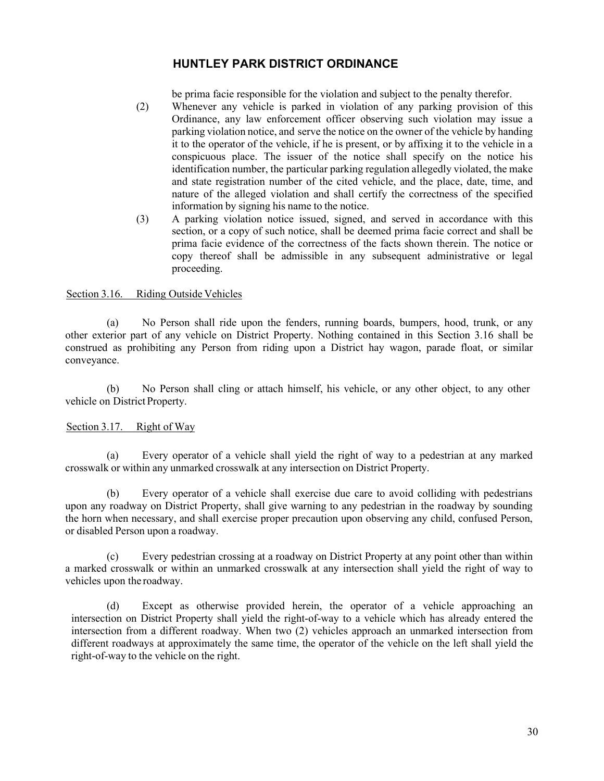be prima facie responsible for the violation and subject to the penalty therefor.

- <span id="page-34-2"></span>(2) Whenever any vehicle is parked in violation of any parking provision of this Ordinance, any law enforcement officer observing such violation may issue a parking violation notice, and serve the notice on the owner of the vehicle by handing it to the operator of the vehicle, if he is present, or by affixing it to the vehicle in a conspicuous place. The issuer of the notice shall specify on the notice his identification number, the particular parking regulation allegedly violated, the make and state registration number of the cited vehicle, and the place, date, time, and nature of the alleged violation and shall certify the correctness of the specified information by signing his name to the notice.
- (3) A parking violation notice issued, signed, and served in accordance with this section, or a copy of such notice, shall be deemed prima facie correct and shall be prima facie evidence of the correctness of the facts shown therein. The notice or copy thereof shall be admissible in any subsequent administrative or legal proceeding.

### <span id="page-34-0"></span>Section 3.16. Riding Outside Vehicles

(a) No Person shall ride upon the fenders, running boards, bumpers, hood, trunk, or any other exterior part of any vehicle on District Property. Nothing contained in this Section 3.16 shall be construed as prohibiting any Person from riding upon a District hay wagon, parade float, or similar conveyance.

(b) No Person shall cling or attach himself, his vehicle, or any other object, to any other vehicle on District Property.

### <span id="page-34-1"></span>Section 3.17. Right of Way

(a) Every operator of a vehicle shall yield the right of way to a pedestrian at any marked crosswalk or within any unmarked crosswalk at any intersection on District Property.

(b) Every operator of a vehicle shall exercise due care to avoid colliding with pedestrians upon any roadway on District Property, shall give warning to any pedestrian in the roadway by sounding the horn when necessary, and shall exercise proper precaution upon observing any child, confused Person, or disabled Person upon a roadway.

(c) Every pedestrian crossing at a roadway on District Property at any point other than within a marked crosswalk or within an unmarked crosswalk at any intersection shall yield the right of way to vehicles upon the roadway.

(d) Except as otherwise provided herein, the operator of a vehicle approaching an intersection on District Property shall yield the right-of-way to a vehicle which has already entered the intersection from a different roadway. When two (2) vehicles approach an unmarked intersection from different roadways at approximately the same time, the operator of the vehicle on the left shall yield the right-of-way to the vehicle on the right.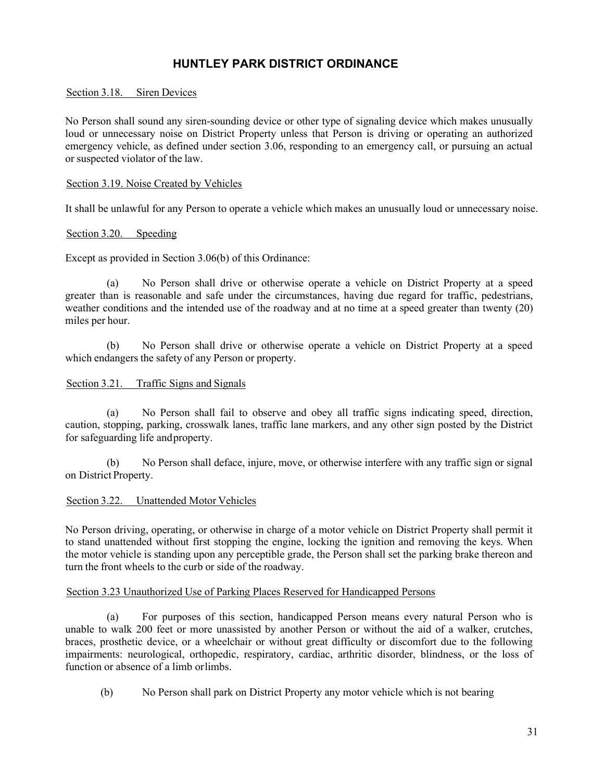#### Section 3.18. Siren Devices

No Person shall sound any siren-sounding device or other type of signaling device which makes unusually loud or unnecessary noise on District Property unless that Person is driving or operating an authorized emergency vehicle, as defined under section 3.06, responding to an emergency call, or pursuing an actual or suspected violator of the law.

#### <span id="page-35-1"></span><span id="page-35-0"></span>Section 3.19. Noise Created by Vehicles

It shall be unlawful for any Person to operate a vehicle which makes an unusually loud or unnecessary noise.

#### Section 3.20. Speeding

Except as provided in Section 3.06(b) of this Ordinance:

(a) No Person shall drive or otherwise operate a vehicle on District Property at a speed greater than is reasonable and safe under the circumstances, having due regard for traffic, pedestrians, weather conditions and the intended use of the roadway and at no time at a speed greater than twenty (20) miles per hour.

(b) No Person shall drive or otherwise operate a vehicle on District Property at a speed which endangers the safety of any Person or property.

#### <span id="page-35-2"></span>Section 3.21. Traffic Signs and Signals

(a) No Person shall fail to observe and obey all traffic signs indicating speed, direction, caution, stopping, parking, crosswalk lanes, traffic lane markers, and any other sign posted by the District for safeguarding life andproperty.

(b) No Person shall deface, injure, move, or otherwise interfere with any traffic sign or signal on District Property.

### <span id="page-35-3"></span>Section 3.22. Unattended Motor Vehicles

No Person driving, operating, or otherwise in charge of a motor vehicle on District Property shall permit it to stand unattended without first stopping the engine, locking the ignition and removing the keys. When the motor vehicle is standing upon any perceptible grade, the Person shall set the parking brake thereon and turn the front wheels to the curb or side of the roadway.

#### <span id="page-35-4"></span>Section 3.23 Unauthorized Use of Parking Places Reserved for Handicapped Persons

(a) For purposes of this section, handicapped Person means every natural Person who is unable to walk 200 feet or more unassisted by another Person or without the aid of a walker, crutches, braces, prosthetic device, or a wheelchair or without great difficulty or discomfort due to the following impairments: neurological, orthopedic, respiratory, cardiac, arthritic disorder, blindness, or the loss of function or absence of a limb orlimbs.

(b) No Person shall park on District Property any motor vehicle which is not bearing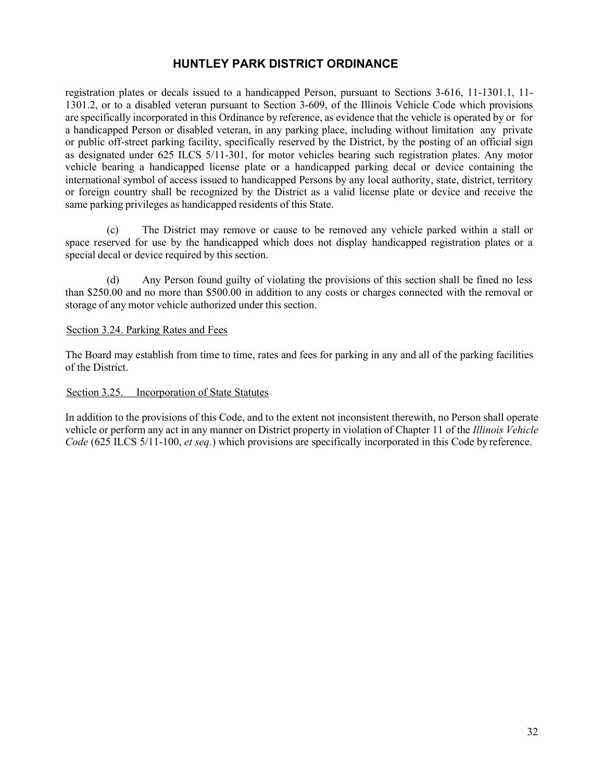registration plates or decals issued to a handicapped Person, pursuant to Sections 3-616, 11-1301.1, 11- 1301.2, or to a disabled veteran pursuant to Section 3-609, of the Illinois Vehicle Code which provisions are specifically incorporated in this Ordinance by reference, as evidence that the vehicle is operated by or for a handicapped Person or disabled veteran, in any parking place, including without limitation any private or public off-street parking facility, specifically reserved by the District, by the posting of an official sign as designated under 625 ILCS 5/11-301, for motor vehicles bearing such registration plates. Any motor vehicle bearing a handicapped license plate or a handicapped parking decal or device containing the international symbol of access issued to handicapped Persons by any local authority, state, district, territory or foreign country shall be recognized by the District as a valid license plate or device and receive the same parking privileges as handicapped residents of this State.

(c) The District may remove or cause to be removed any vehicle parked within a stall or space reserved for use by the handicapped which does not display handicapped registration plates or a special decal or device required by this section.

(d) Any Person found guilty of violating the provisions of this section shall be fined no less than \$250.00 and no more than \$500.00 in addition to any costs or charges connected with the removal or storage of any motor vehicle authorized under this section.

#### <span id="page-36-0"></span>Section 3.24. Parking Rates and Fees

The Board may establish from time to time, rates and fees for parking in any and all of the parking facilities of the District.

### <span id="page-36-1"></span>Section 3.25. Incorporation of State Statutes

In addition to the provisions of this Code, and to the extent not inconsistent therewith, no Person shall operate vehicle or perform any act in any manner on District property in violation of Chapter 11 of the *Illinois Vehicle Code* (625 ILCS 5/11-100, *et seq.*) which provisions are specifically incorporated in this Code byreference.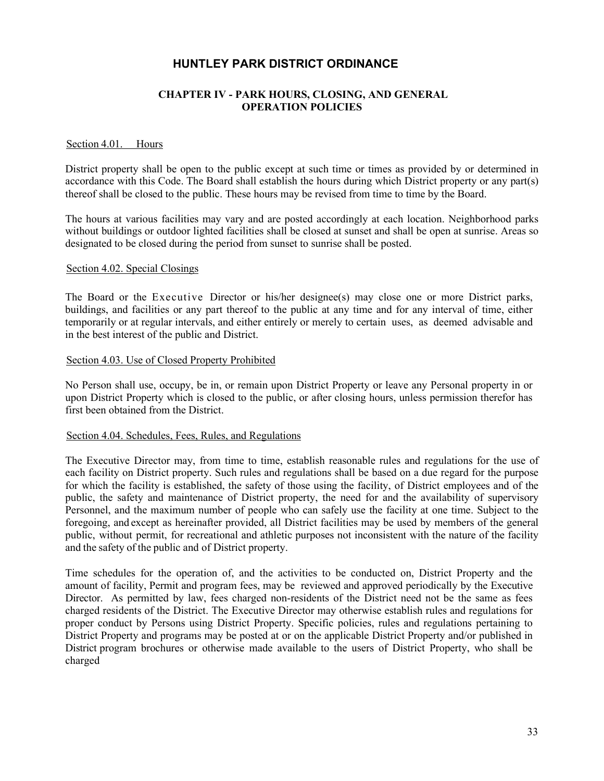### **CHAPTER IV - PARK HOURS, CLOSING, AND GENERAL OPERATION POLICIES**

#### <span id="page-37-1"></span><span id="page-37-0"></span>Section 4.01. Hours

District property shall be open to the public except at such time or times as provided by or determined in accordance with this Code. The Board shall establish the hours during which District property or any part(s) thereof shall be closed to the public. These hours may be revised from time to time by the Board.

The hours at various facilities may vary and are posted accordingly at each location. Neighborhood parks without buildings or outdoor lighted facilities shall be closed at sunset and shall be open at sunrise. Areas so designated to be closed during the period from sunset to sunrise shall be posted.

#### <span id="page-37-2"></span>Section 4.02. Special Closings

The Board or the Executive Director or his/her designee(s) may close one or more District parks, buildings, and facilities or any part thereof to the public at any time and for any interval of time, either temporarily or at regular intervals, and either entirely or merely to certain uses, as deemed advisable and in the best interest of the public and District.

#### <span id="page-37-3"></span>Section 4.03. Use of Closed Property Prohibited

No Person shall use, occupy, be in, or remain upon District Property or leave any Personal property in or upon District Property which is closed to the public, or after closing hours, unless permission therefor has first been obtained from the District.

#### <span id="page-37-4"></span>Section 4.04. Schedules, Fees, Rules, and Regulations

The Executive Director may, from time to time, establish reasonable rules and regulations for the use of each facility on District property. Such rules and regulations shall be based on a due regard for the purpose for which the facility is established, the safety of those using the facility, of District employees and of the public, the safety and maintenance of District property, the need for and the availability of supervisory Personnel, and the maximum number of people who can safely use the facility at one time. Subject to the foregoing, and except as hereinafter provided, all District facilities may be used by members of the general public, without permit, for recreational and athletic purposes not inconsistent with the nature of the facility and the safety of the public and of District property.

Time schedules for the operation of, and the activities to be conducted on, District Property and the amount of facility, Permit and program fees, may be reviewed and approved periodically by the Executive Director. As permitted by law, fees charged non-residents of the District need not be the same as fees charged residents of the District. The Executive Director may otherwise establish rules and regulations for proper conduct by Persons using District Property. Specific policies, rules and regulations pertaining to District Property and programs may be posted at or on the applicable District Property and/or published in District program brochures or otherwise made available to the users of District Property, who shall be charged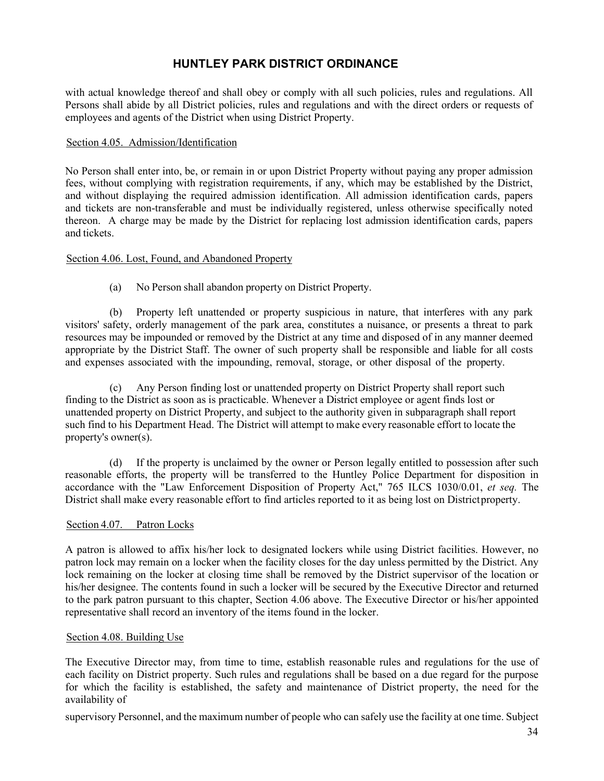with actual knowledge thereof and shall obey or comply with all such policies, rules and regulations. All Persons shall abide by all District policies, rules and regulations and with the direct orders or requests of employees and agents of the District when using District Property.

#### <span id="page-38-0"></span>Section 4.05. Admission/Identification

No Person shall enter into, be, or remain in or upon District Property without paying any proper admission fees, without complying with registration requirements, if any, which may be established by the District, and without displaying the required admission identification. All admission identification cards, papers and tickets are non-transferable and must be individually registered, unless otherwise specifically noted thereon. A charge may be made by the District for replacing lost admission identification cards, papers and tickets.

### <span id="page-38-1"></span>Section 4.06. Lost, Found, and Abandoned Property

(a) No Person shall abandon property on District Property.

(b) Property left unattended or property suspicious in nature, that interferes with any park visitors' safety, orderly management of the park area, constitutes a nuisance, or presents a threat to park resources may be impounded or removed by the District at any time and disposed of in any manner deemed appropriate by the District Staff. The owner of such property shall be responsible and liable for all costs and expenses associated with the impounding, removal, storage, or other disposal of the property.

(c) Any Person finding lost or unattended property on District Property shall report such finding to the District as soon as is practicable. Whenever a District employee or agent finds lost or unattended property on District Property, and subject to the authority given in subparagraph shall report such find to his Department Head. The District will attempt to make every reasonable effort to locate the property's owner(s).

(d) If the property is unclaimed by the owner or Person legally entitled to possession after such reasonable efforts, the property will be transferred to the Huntley Police Department for disposition in accordance with the "Law Enforcement Disposition of Property Act," 765 ILCS 1030/0.01, *et seq.* The District shall make every reasonable effort to find articles reported to it as being lost on Districtproperty.

### <span id="page-38-2"></span>Section 4.07. Patron Locks

A patron is allowed to affix his/her lock to designated lockers while using District facilities. However, no patron lock may remain on a locker when the facility closes for the day unless permitted by the District. Any lock remaining on the locker at closing time shall be removed by the District supervisor of the location or his/her designee. The contents found in such a locker will be secured by the Executive Director and returned to the park patron pursuant to this chapter, Section 4.06 above. The Executive Director or his/her appointed representative shall record an inventory of the items found in the locker.

### <span id="page-38-3"></span>Section 4.08. Building Use

The Executive Director may, from time to time, establish reasonable rules and regulations for the use of each facility on District property. Such rules and regulations shall be based on a due regard for the purpose for which the facility is established, the safety and maintenance of District property, the need for the availability of

supervisory Personnel, and the maximum number of people who can safely use the facility at one time. Subject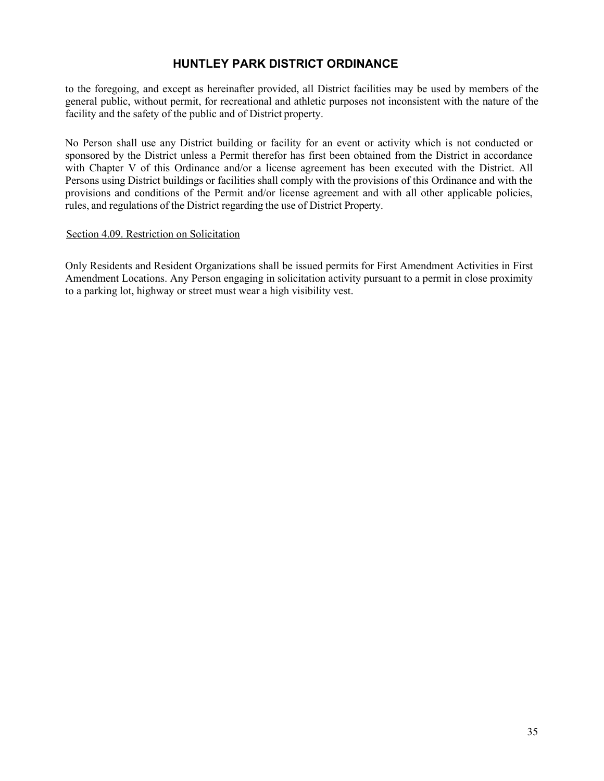to the foregoing, and except as hereinafter provided, all District facilities may be used by members of the general public, without permit, for recreational and athletic purposes not inconsistent with the nature of the facility and the safety of the public and of District property.

No Person shall use any District building or facility for an event or activity which is not conducted or sponsored by the District unless a Permit therefor has first been obtained from the District in accordance with Chapter V of this Ordinance and/or a license agreement has been executed with the District. All Persons using District buildings or facilities shall comply with the provisions of this Ordinance and with the provisions and conditions of the Permit and/or license agreement and with all other applicable policies, rules, and regulations of the District regarding the use of District Property.

### <span id="page-39-0"></span>Section 4.09. Restriction on Solicitation

Only Residents and Resident Organizations shall be issued permits for First Amendment Activities in First Amendment Locations. Any Person engaging in solicitation activity pursuant to a permit in close proximity to a parking lot, highway or street must wear a high visibility vest.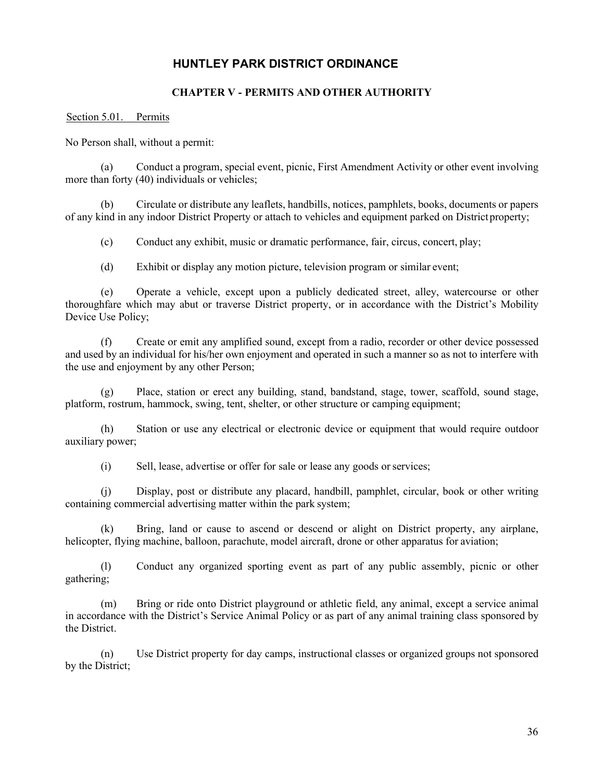### **CHAPTER V - PERMITS AND OTHER AUTHORITY**

#### <span id="page-40-1"></span><span id="page-40-0"></span>Section 5.01. Permits

No Person shall, without a permit:

(a) Conduct a program, special event, picnic, First Amendment Activity or other event involving more than forty (40) individuals or vehicles;

(b) Circulate or distribute any leaflets, handbills, notices, pamphlets, books, documents or papers of any kind in any indoor District Property or attach to vehicles and equipment parked on District property;

(c) Conduct any exhibit, music or dramatic performance, fair, circus, concert, play;

(d) Exhibit or display any motion picture, television program or similar event;

(e) Operate a vehicle, except upon a publicly dedicated street, alley, watercourse or other thoroughfare which may abut or traverse District property, or in accordance with the District's Mobility Device Use Policy;

(f) Create or emit any amplified sound, except from a radio, recorder or other device possessed and used by an individual for his/her own enjoyment and operated in such a manner so as not to interfere with the use and enjoyment by any other Person;

(g) Place, station or erect any building, stand, bandstand, stage, tower, scaffold, sound stage, platform, rostrum, hammock, swing, tent, shelter, or other structure or camping equipment;

(h) Station or use any electrical or electronic device or equipment that would require outdoor auxiliary power;

(i) Sell, lease, advertise or offer for sale or lease any goods or services;

(j) Display, post or distribute any placard, handbill, pamphlet, circular, book or other writing containing commercial advertising matter within the park system;

(k) Bring, land or cause to ascend or descend or alight on District property, any airplane, helicopter, flying machine, balloon, parachute, model aircraft, drone or other apparatus for aviation;

(l) Conduct any organized sporting event as part of any public assembly, picnic or other gathering;

(m) Bring or ride onto District playground or athletic field, any animal, except a service animal in accordance with the District's Service Animal Policy or as part of any animal training class sponsored by the District.

(n) Use District property for day camps, instructional classes or organized groups not sponsored by the District;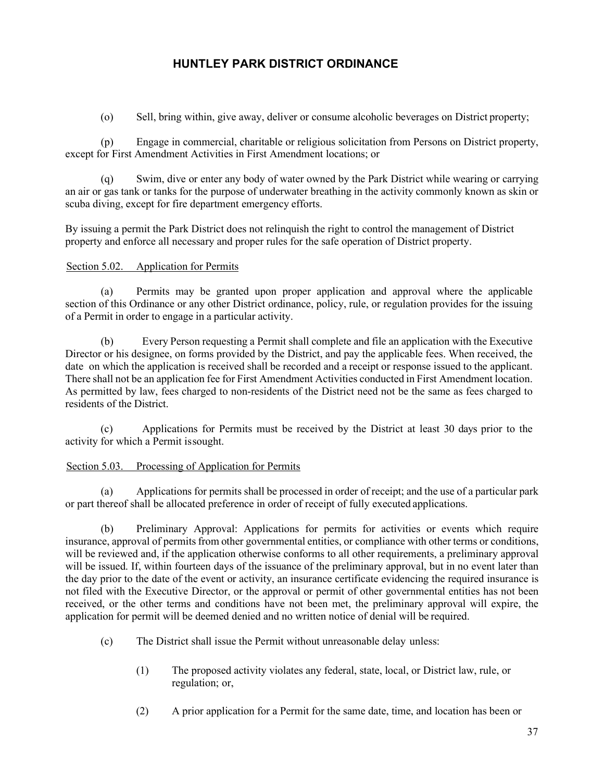(o) Sell, bring within, give away, deliver or consume alcoholic beverages on District property;

(p) Engage in commercial, charitable or religious solicitation from Persons on District property, except for First Amendment Activities in First Amendment locations; or

(q) Swim, dive or enter any body of water owned by the Park District while wearing or carrying an air or gas tank or tanks for the purpose of underwater breathing in the activity commonly known as skin or scuba diving, except for fire department emergency efforts.

By issuing a permit the Park District does not relinquish the right to control the management of District property and enforce all necessary and proper rules for the safe operation of District property.

### <span id="page-41-0"></span>Section 5.02. Application for Permits

(a) Permits may be granted upon proper application and approval where the applicable section of this Ordinance or any other District ordinance, policy, rule, or regulation provides for the issuing of a Permit in order to engage in a particular activity.

(b) Every Person requesting a Permit shall complete and file an application with the Executive Director or his designee, on forms provided by the District, and pay the applicable fees. When received, the date on which the application is received shall be recorded and a receipt or response issued to the applicant. There shall not be an application fee for First Amendment Activities conducted in First Amendment location. As permitted by law, fees charged to non-residents of the District need not be the same as fees charged to residents of the District.

(c) Applications for Permits must be received by the District at least 30 days prior to the activity for which a Permit issought.

### <span id="page-41-1"></span>Section 5.03. Processing of Application for Permits

(a) Applications for permits shall be processed in order of receipt; and the use of a particular park or part thereof shall be allocated preference in order of receipt of fully executed applications.

(b) Preliminary Approval: Applications for permits for activities or events which require insurance, approval of permits from other governmental entities, or compliance with other terms or conditions, will be reviewed and, if the application otherwise conforms to all other requirements, a preliminary approval will be issued. If, within fourteen days of the issuance of the preliminary approval, but in no event later than the day prior to the date of the event or activity, an insurance certificate evidencing the required insurance is not filed with the Executive Director, or the approval or permit of other governmental entities has not been received, or the other terms and conditions have not been met, the preliminary approval will expire, the application for permit will be deemed denied and no written notice of denial will be required.

- (c) The District shall issue the Permit without unreasonable delay unless:
	- (1) The proposed activity violates any federal, state, local, or District law, rule, or regulation; or,
	- (2) A prior application for a Permit for the same date, time, and location has been or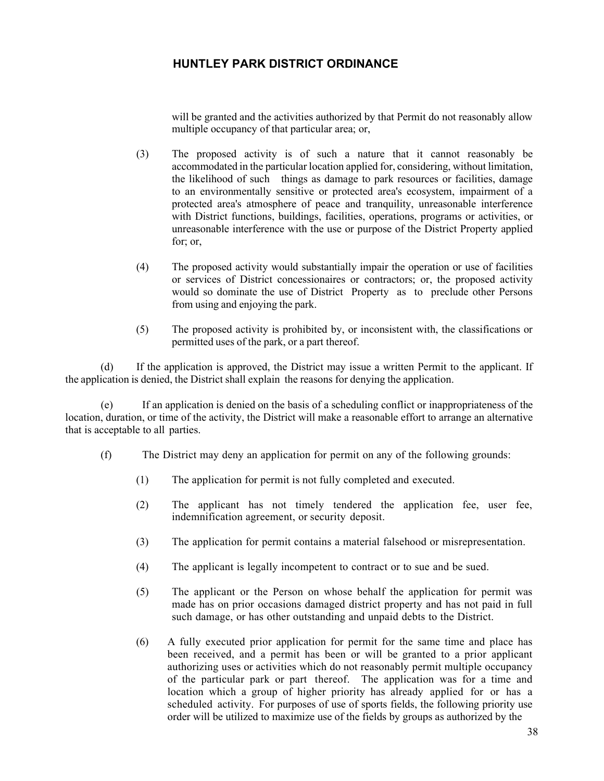will be granted and the activities authorized by that Permit do not reasonably allow multiple occupancy of that particular area; or,

- (3) The proposed activity is of such a nature that it cannot reasonably be accommodated in the particular location applied for, considering, without limitation, the likelihood of such things as damage to park resources or facilities, damage to an environmentally sensitive or protected area's ecosystem, impairment of a protected area's atmosphere of peace and tranquility, unreasonable interference with District functions, buildings, facilities, operations, programs or activities, or unreasonable interference with the use or purpose of the District Property applied for; or,
- (4) The proposed activity would substantially impair the operation or use of facilities or services of District concessionaires or contractors; or, the proposed activity would so dominate the use of District Property as to preclude other Persons from using and enjoying the park.
- (5) The proposed activity is prohibited by, or inconsistent with, the classifications or permitted uses of the park, or a part thereof.

(d) If the application is approved, the District may issue a written Permit to the applicant. If the application is denied, the District shall explain the reasons for denying the application.

(e) If an application is denied on the basis of a scheduling conflict or inappropriateness of the location, duration, or time of the activity, the District will make a reasonable effort to arrange an alternative that is acceptable to all parties.

- (f) The District may deny an application for permit on any of the following grounds:
	- (1) The application for permit is not fully completed and executed.
	- (2) The applicant has not timely tendered the application fee, user fee, indemnification agreement, or security deposit.
	- (3) The application for permit contains a material falsehood or misrepresentation.
	- (4) The applicant is legally incompetent to contract or to sue and be sued.
	- (5) The applicant or the Person on whose behalf the application for permit was made has on prior occasions damaged district property and has not paid in full such damage, or has other outstanding and unpaid debts to the District.
	- (6) A fully executed prior application for permit for the same time and place has been received, and a permit has been or will be granted to a prior applicant authorizing uses or activities which do not reasonably permit multiple occupancy of the particular park or part thereof. The application was for a time and location which a group of higher priority has already applied for or has a scheduled activity. For purposes of use of sports fields, the following priority use order will be utilized to maximize use of the fields by groups as authorized by the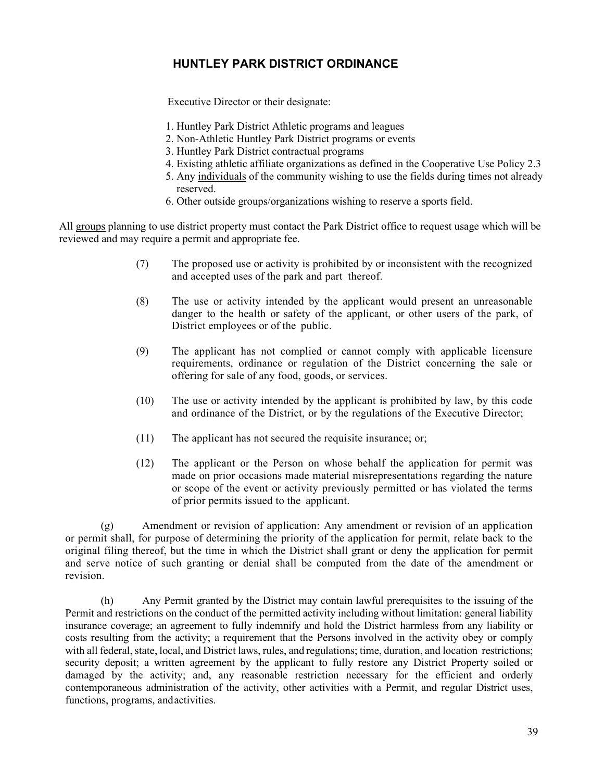Executive Director or their designate:

- 1. Huntley Park District Athletic programs and leagues
- 2. Non-Athletic Huntley Park District programs or events
- 3. Huntley Park District contractual programs
- 4. Existing athletic affiliate organizations as defined in the Cooperative Use Policy 2.3
- 5. Any individuals of the community wishing to use the fields during times not already reserved.
- 6. Other outside groups/organizations wishing to reserve a sports field.

All groups planning to use district property must contact the Park District office to request usage which will be reviewed and may require a permit and appropriate fee.

- (7) The proposed use or activity is prohibited by or inconsistent with the recognized and accepted uses of the park and part thereof.
- (8) The use or activity intended by the applicant would present an unreasonable danger to the health or safety of the applicant, or other users of the park, of District employees or of the public.
- (9) The applicant has not complied or cannot comply with applicable licensure requirements, ordinance or regulation of the District concerning the sale or offering for sale of any food, goods, or services.
- (10) The use or activity intended by the applicant is prohibited by law, by this code and ordinance of the District, or by the regulations of the Executive Director;
- (11) The applicant has not secured the requisite insurance; or;
- (12) The applicant or the Person on whose behalf the application for permit was made on prior occasions made material misrepresentations regarding the nature or scope of the event or activity previously permitted or has violated the terms of prior permits issued to the applicant.

(g) Amendment or revision of application: Any amendment or revision of an application or permit shall, for purpose of determining the priority of the application for permit, relate back to the original filing thereof, but the time in which the District shall grant or deny the application for permit and serve notice of such granting or denial shall be computed from the date of the amendment or revision.

(h) Any Permit granted by the District may contain lawful prerequisites to the issuing of the Permit and restrictions on the conduct of the permitted activity including without limitation: general liability insurance coverage; an agreement to fully indemnify and hold the District harmless from any liability or costs resulting from the activity; a requirement that the Persons involved in the activity obey or comply with all federal, state, local, and District laws, rules, and regulations; time, duration, and location restrictions; security deposit; a written agreement by the applicant to fully restore any District Property soiled or damaged by the activity; and, any reasonable restriction necessary for the efficient and orderly contemporaneous administration of the activity, other activities with a Permit, and regular District uses, functions, programs, andactivities.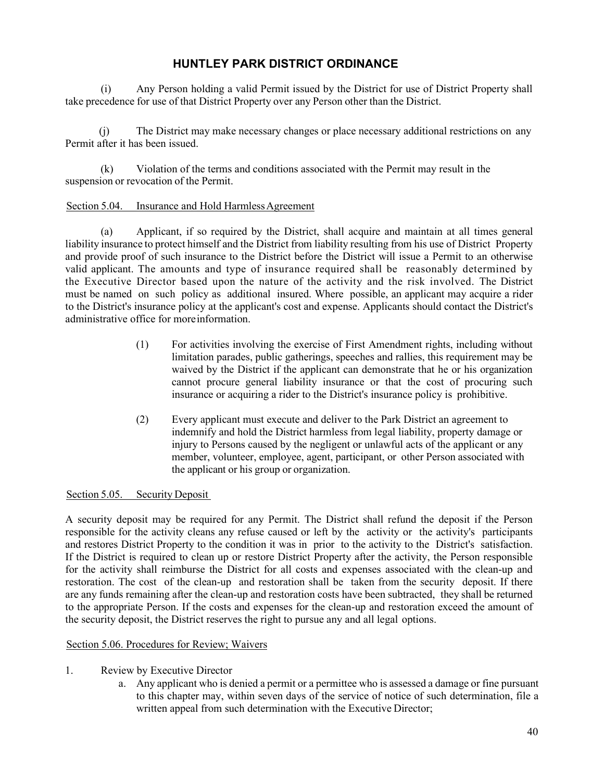(i) Any Person holding a valid Permit issued by the District for use of District Property shall take precedence for use of that District Property over any Person other than the District.

(j) The District may make necessary changes or place necessary additional restrictions on any Permit after it has been issued.

(k) Violation of the terms and conditions associated with the Permit may result in the suspension or revocation of the Permit.

### <span id="page-44-0"></span>Section 5.04. Insurance and Hold Harmless Agreement

(a) Applicant, if so required by the District, shall acquire and maintain at all times general liability insurance to protect himself and the District from liability resulting from his use of District Property and provide proof of such insurance to the District before the District will issue a Permit to an otherwise valid applicant. The amounts and type of insurance required shall be reasonably determined by the Executive Director based upon the nature of the activity and the risk involved. The District must be named on such policy as additional insured. Where possible, an applicant may acquire a rider to the District's insurance policy at the applicant's cost and expense. Applicants should contact the District's administrative office for moreinformation.

- (1) For activities involving the exercise of First Amendment rights, including without limitation parades, public gatherings, speeches and rallies, this requirement may be waived by the District if the applicant can demonstrate that he or his organization cannot procure general liability insurance or that the cost of procuring such insurance or acquiring a rider to the District's insurance policy is prohibitive.
- (2) Every applicant must execute and deliver to the Park District an agreement to indemnify and hold the District harmless from legal liability, property damage or injury to Persons caused by the negligent or unlawful acts of the applicant or any member, volunteer, employee, agent, participant, or other Person associated with the applicant or his group or organization.

### <span id="page-44-1"></span>Section 5.05. Security Deposit

A security deposit may be required for any Permit. The District shall refund the deposit if the Person responsible for the activity cleans any refuse caused or left by the activity or the activity's participants and restores District Property to the condition it was in prior to the activity to the District's satisfaction. If the District is required to clean up or restore District Property after the activity, the Person responsible for the activity shall reimburse the District for all costs and expenses associated with the clean-up and restoration. The cost of the clean-up and restoration shall be taken from the security deposit. If there are any funds remaining after the clean-up and restoration costs have been subtracted, they shall be returned to the appropriate Person. If the costs and expenses for the clean-up and restoration exceed the amount of the security deposit, the District reserves the right to pursue any and all legal options.

### <span id="page-44-2"></span>Section 5.06. Procedures for Review; Waivers

- 1. Review by Executive Director
	- a. Any applicant who is denied a permit or a permittee who is assessed a damage or fine pursuant to this chapter may, within seven days of the service of notice of such determination, file a written appeal from such determination with the Executive Director;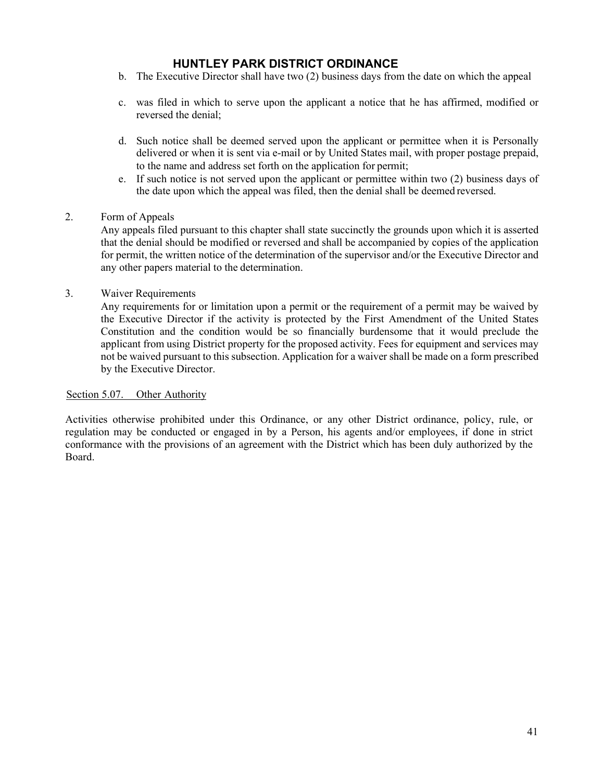- b. The Executive Director shall have two (2) business days from the date on which the appeal
- c. was filed in which to serve upon the applicant a notice that he has affirmed, modified or reversed the denial;
- d. Such notice shall be deemed served upon the applicant or permittee when it is Personally delivered or when it is sent via e-mail or by United States mail, with proper postage prepaid, to the name and address set forth on the application for permit;
- e. If such notice is not served upon the applicant or permittee within two (2) business days of the date upon which the appeal was filed, then the denial shall be deemed reversed.

### 2. Form of Appeals

Any appeals filed pursuant to this chapter shall state succinctly the grounds upon which it is asserted that the denial should be modified or reversed and shall be accompanied by copies of the application for permit, the written notice of the determination of the supervisor and/or the Executive Director and any other papers material to the determination.

3. Waiver Requirements

Any requirements for or limitation upon a permit or the requirement of a permit may be waived by the Executive Director if the activity is protected by the First Amendment of the United States Constitution and the condition would be so financially burdensome that it would preclude the applicant from using District property for the proposed activity. Fees for equipment and services may not be waived pursuant to this subsection. Application for a waiver shall be made on a form prescribed by the Executive Director.

### <span id="page-45-0"></span>Section 5.07. Other Authority

Activities otherwise prohibited under this Ordinance, or any other District ordinance, policy, rule, or regulation may be conducted or engaged in by a Person, his agents and/or employees, if done in strict conformance with the provisions of an agreement with the District which has been duly authorized by the Board.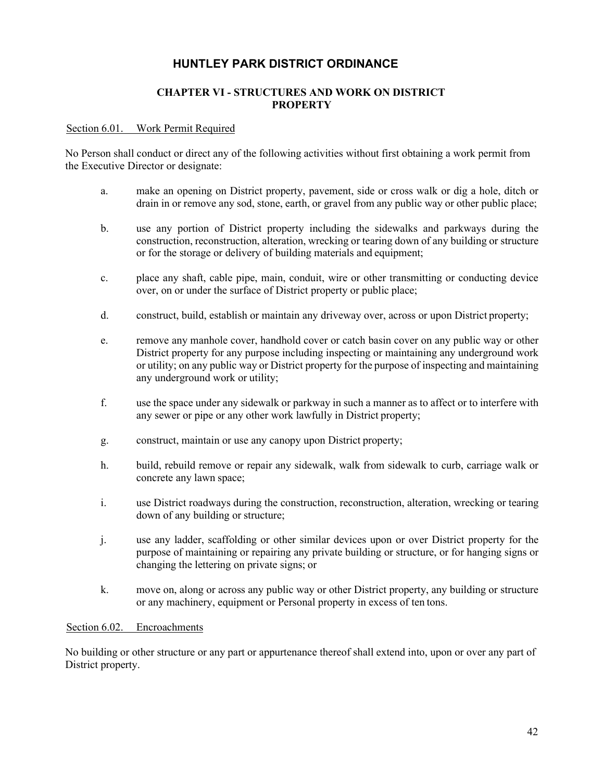### **CHAPTER VI - STRUCTURES AND WORK ON DISTRICT PROPERTY**

#### <span id="page-46-1"></span><span id="page-46-0"></span>Section 6.01. Work Permit Required

No Person shall conduct or direct any of the following activities without first obtaining a work permit from the Executive Director or designate:

- a. make an opening on District property, pavement, side or cross walk or dig a hole, ditch or drain in or remove any sod, stone, earth, or gravel from any public way or other public place;
- b. use any portion of District property including the sidewalks and parkways during the construction, reconstruction, alteration, wrecking or tearing down of any building or structure or for the storage or delivery of building materials and equipment;
- c. place any shaft, cable pipe, main, conduit, wire or other transmitting or conducting device over, on or under the surface of District property or public place;
- d. construct, build, establish or maintain any driveway over, across or upon District property;
- e. remove any manhole cover, handhold cover or catch basin cover on any public way or other District property for any purpose including inspecting or maintaining any underground work or utility; on any public way or District property for the purpose of inspecting and maintaining any underground work or utility;
- f. use the space under any sidewalk or parkway in such a manner as to affect or to interfere with any sewer or pipe or any other work lawfully in District property;
- g. construct, maintain or use any canopy upon District property;
- h. build, rebuild remove or repair any sidewalk, walk from sidewalk to curb, carriage walk or concrete any lawn space;
- i. use District roadways during the construction, reconstruction, alteration, wrecking or tearing down of any building or structure;
- j. use any ladder, scaffolding or other similar devices upon or over District property for the purpose of maintaining or repairing any private building or structure, or for hanging signs or changing the lettering on private signs; or
- k. move on, along or across any public way or other District property, any building or structure or any machinery, equipment or Personal property in excess of ten tons.

#### <span id="page-46-2"></span>Section 6.02. Encroachments

No building or other structure or any part or appurtenance thereof shall extend into, upon or over any part of District property.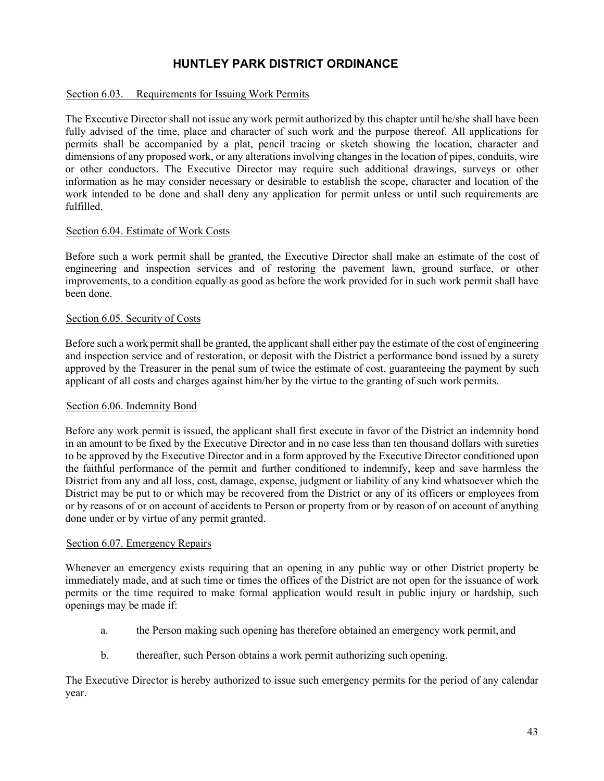#### <span id="page-47-0"></span>Section 6.03. Requirements for Issuing Work Permits

The Executive Director shall not issue any work permit authorized by this chapter until he/she shall have been fully advised of the time, place and character of such work and the purpose thereof. All applications for permits shall be accompanied by a plat, pencil tracing or sketch showing the location, character and dimensions of any proposed work, or any alterations involving changes in the location of pipes, conduits, wire or other conductors. The Executive Director may require such additional drawings, surveys or other information as he may consider necessary or desirable to establish the scope, character and location of the work intended to be done and shall deny any application for permit unless or until such requirements are fulfilled.

#### <span id="page-47-1"></span>Section 6.04. Estimate of Work Costs

Before such a work permit shall be granted, the Executive Director shall make an estimate of the cost of engineering and inspection services and of restoring the pavement lawn, ground surface, or other improvements, to a condition equally as good as before the work provided for in such work permit shall have been done.

#### <span id="page-47-2"></span>Section 6.05. Security of Costs

Before such a work permit shall be granted, the applicant shall either pay the estimate of the cost of engineering and inspection service and of restoration, or deposit with the District a performance bond issued by a surety approved by the Treasurer in the penal sum of twice the estimate of cost, guaranteeing the payment by such applicant of all costs and charges against him/her by the virtue to the granting of such work permits.

#### <span id="page-47-3"></span>Section 6.06. Indemnity Bond

Before any work permit is issued, the applicant shall first execute in favor of the District an indemnity bond in an amount to be fixed by the Executive Director and in no case less than ten thousand dollars with sureties to be approved by the Executive Director and in a form approved by the Executive Director conditioned upon the faithful performance of the permit and further conditioned to indemnify, keep and save harmless the District from any and all loss, cost, damage, expense, judgment or liability of any kind whatsoever which the District may be put to or which may be recovered from the District or any of its officers or employees from or by reasons of or on account of accidents to Person or property from or by reason of on account of anything done under or by virtue of any permit granted.

#### <span id="page-47-4"></span>Section 6.07. Emergency Repairs

Whenever an emergency exists requiring that an opening in any public way or other District property be immediately made, and at such time or times the offices of the District are not open for the issuance of work permits or the time required to make formal application would result in public injury or hardship, such openings may be made if:

- a. the Person making such opening has therefore obtained an emergency work permit, and
- b. thereafter, such Person obtains a work permit authorizing such opening.

The Executive Director is hereby authorized to issue such emergency permits for the period of any calendar year.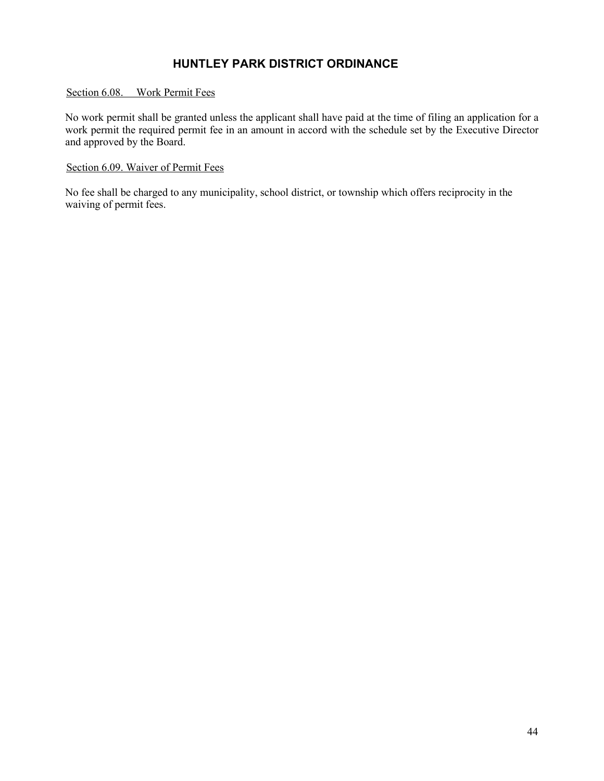### <span id="page-48-0"></span>Section 6.08. Work Permit Fees

No work permit shall be granted unless the applicant shall have paid at the time of filing an application for a work permit the required permit fee in an amount in accord with the schedule set by the Executive Director and approved by the Board.

### <span id="page-48-1"></span>Section 6.09. Waiver of Permit Fees

No fee shall be charged to any municipality, school district, or township which offers reciprocity in the waiving of permit fees.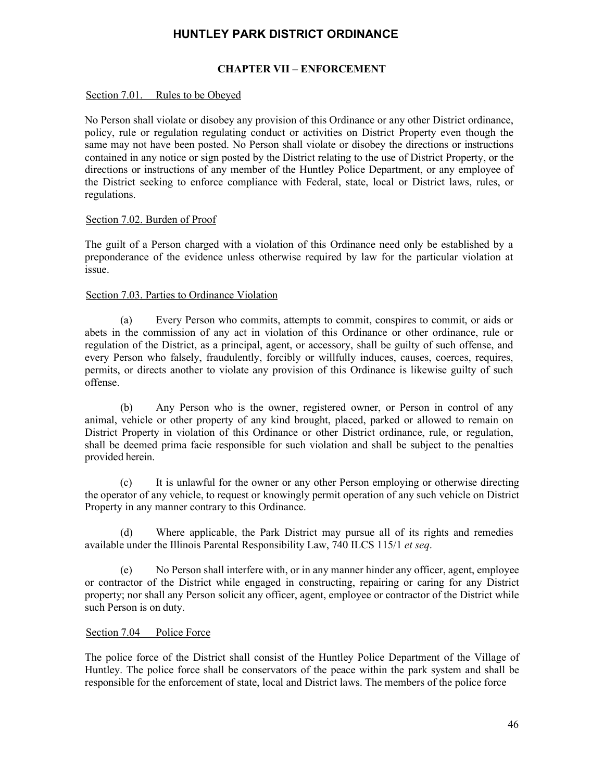### **CHAPTER VII – ENFORCEMENT**

#### <span id="page-49-1"></span><span id="page-49-0"></span>Section 7.01. Rules to be Obeyed

No Person shall violate or disobey any provision of this Ordinance or any other District ordinance, policy, rule or regulation regulating conduct or activities on District Property even though the same may not have been posted. No Person shall violate or disobey the directions or instructions contained in any notice or sign posted by the District relating to the use of District Property, or the directions or instructions of any member of the Huntley Police Department, or any employee of the District seeking to enforce compliance with Federal, state, local or District laws, rules, or regulations.

#### <span id="page-49-2"></span>Section 7.02. Burden of Proof

The guilt of a Person charged with a violation of this Ordinance need only be established by a preponderance of the evidence unless otherwise required by law for the particular violation at issue.

#### <span id="page-49-3"></span>Section 7.03. Parties to Ordinance Violation

(a) Every Person who commits, attempts to commit, conspires to commit, or aids or abets in the commission of any act in violation of this Ordinance or other ordinance, rule or regulation of the District, as a principal, agent, or accessory, shall be guilty of such offense, and every Person who falsely, fraudulently, forcibly or willfully induces, causes, coerces, requires, permits, or directs another to violate any provision of this Ordinance is likewise guilty of such offense.

(b) Any Person who is the owner, registered owner, or Person in control of any animal, vehicle or other property of any kind brought, placed, parked or allowed to remain on District Property in violation of this Ordinance or other District ordinance, rule, or regulation, shall be deemed prima facie responsible for such violation and shall be subject to the penalties provided herein.

(c) It is unlawful for the owner or any other Person employing or otherwise directing the operator of any vehicle, to request or knowingly permit operation of any such vehicle on District Property in any manner contrary to this Ordinance.

(d) Where applicable, the Park District may pursue all of its rights and remedies available under the Illinois Parental Responsibility Law, 740 ILCS 115/1 *et seq*.

(e) No Person shall interfere with, or in any manner hinder any officer, agent, employee or contractor of the District while engaged in constructing, repairing or caring for any District property; nor shall any Person solicit any officer, agent, employee or contractor of the District while such Person is on duty.

#### <span id="page-49-4"></span>Section 7.04 Police Force

The police force of the District shall consist of the Huntley Police Department of the Village of Huntley. The police force shall be conservators of the peace within the park system and shall be responsible for the enforcement of state, local and District laws. The members of the police force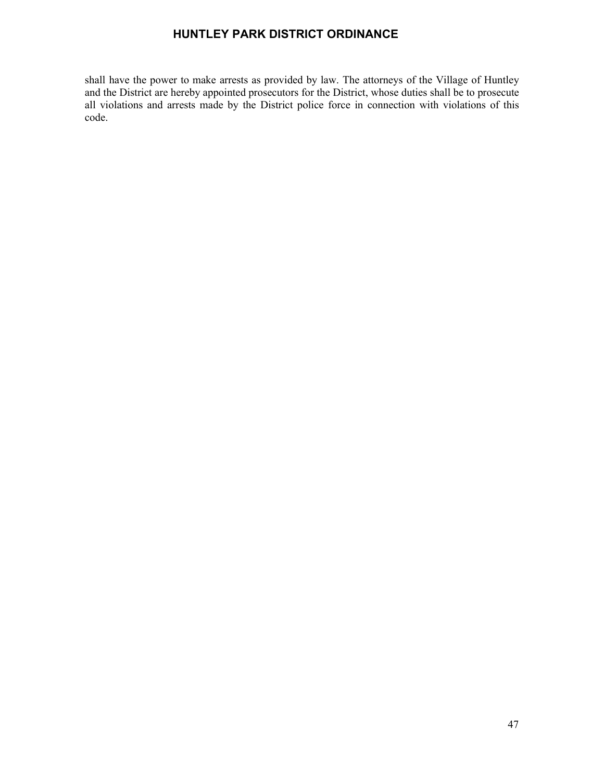shall have the power to make arrests as provided by law. The attorneys of the Village of Huntley and the District are hereby appointed prosecutors for the District, whose duties shall be to prosecute all violations and arrests made by the District police force in connection with violations of this code.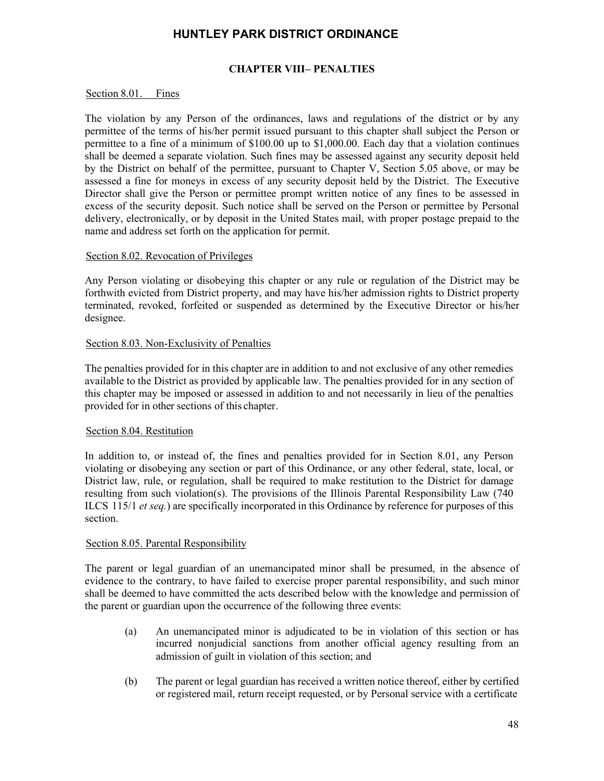### **CHAPTER VIII– PENALTIES**

#### <span id="page-51-1"></span><span id="page-51-0"></span>Section 8.01. Fines

The violation by any Person of the ordinances, laws and regulations of the district or by any permittee of the terms of his/her permit issued pursuant to this chapter shall subject the Person or permittee to a fine of a minimum of \$100.00 up to \$1,000.00. Each day that a violation continues shall be deemed a separate violation. Such fines may be assessed against any security deposit held by the District on behalf of the permittee, pursuant to Chapter V, Section 5.05 above, or may be assessed a fine for moneys in excess of any security deposit held by the District. The Executive Director shall give the Person or permittee prompt written notice of any fines to be assessed in excess of the security deposit. Such notice shall be served on the Person or permittee by Personal delivery, electronically, or by deposit in the United States mail, with proper postage prepaid to the name and address set forth on the application for permit.

#### <span id="page-51-2"></span>Section 8.02. Revocation of Privileges

Any Person violating or disobeying this chapter or any rule or regulation of the District may be forthwith evicted from District property, and may have his/her admission rights to District property terminated, revoked, forfeited or suspended as determined by the Executive Director or his/her designee.

### <span id="page-51-3"></span>Section 8.03. Non-Exclusivity of Penalties

The penalties provided for in this chapter are in addition to and not exclusive of any other remedies available to the District as provided by applicable law. The penalties provided for in any section of this chapter may be imposed or assessed in addition to and not necessarily in lieu of the penalties provided for in other sections of this chapter.

#### <span id="page-51-4"></span>Section 8.04. Restitution

In addition to, or instead of, the fines and penalties provided for in Section 8.01, any Person violating or disobeying any section or part of this Ordinance, or any other federal, state, local, or District law, rule, or regulation, shall be required to make restitution to the District for damage resulting from such violation(s). The provisions of the Illinois Parental Responsibility Law (740 ILCS 115/1 *et seq.*) are specifically incorporated in this Ordinance by reference for purposes of this section.

#### <span id="page-51-5"></span>Section 8.05. Parental Responsibility

The parent or legal guardian of an unemancipated minor shall be presumed, in the absence of evidence to the contrary, to have failed to exercise proper parental responsibility, and such minor shall be deemed to have committed the acts described below with the knowledge and permission of the parent or guardian upon the occurrence of the following three events:

- (a) An unemancipated minor is adjudicated to be in violation of this section or has incurred nonjudicial sanctions from another official agency resulting from an admission of guilt in violation of this section; and
- (b) The parent or legal guardian has received a written notice thereof, either by certified or registered mail, return receipt requested, or by Personal service with a certificate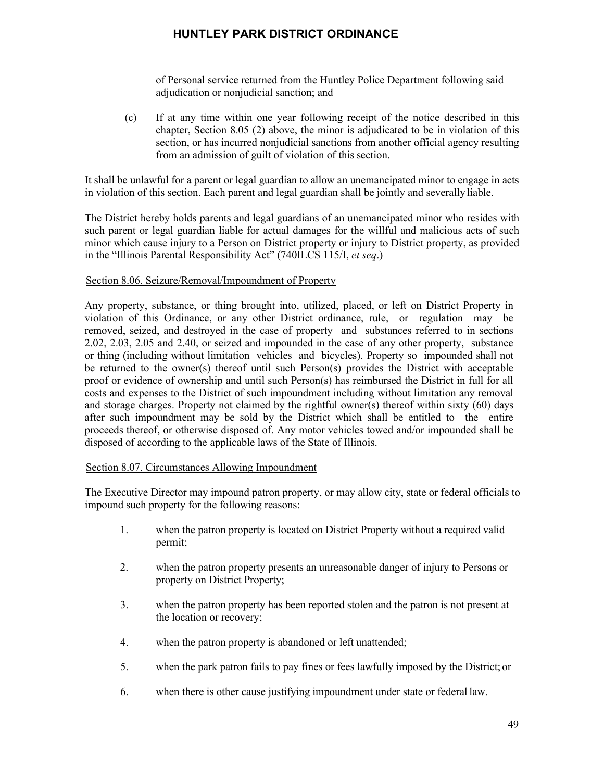of Personal service returned from the Huntley Police Department following said adjudication or nonjudicial sanction; and

(c) If at any time within one year following receipt of the notice described in this chapter, Section 8.05 (2) above, the minor is adjudicated to be in violation of this section, or has incurred nonjudicial sanctions from another official agency resulting from an admission of guilt of violation of this section.

It shall be unlawful for a parent or legal guardian to allow an unemancipated minor to engage in acts in violation of this section. Each parent and legal guardian shall be jointly and severally liable.

The District hereby holds parents and legal guardians of an unemancipated minor who resides with such parent or legal guardian liable for actual damages for the willful and malicious acts of such minor which cause injury to a Person on District property or injury to District property, as provided in the "Illinois Parental Responsibility Act" (740ILCS 115/I, *et seq*.)

#### <span id="page-52-0"></span>Section 8.06. Seizure/Removal/Impoundment of Property

Any property, substance, or thing brought into, utilized, placed, or left on District Property in violation of this Ordinance, or any other District ordinance, rule, or regulation may be removed, seized, and destroyed in the case of property and substances referred to in sections 2.02, 2.03, 2.05 and 2.40, or seized and impounded in the case of any other property, substance or thing (including without limitation vehicles and bicycles). Property so impounded shall not be returned to the owner(s) thereof until such Person(s) provides the District with acceptable proof or evidence of ownership and until such Person(s) has reimbursed the District in full for all costs and expenses to the District of such impoundment including without limitation any removal and storage charges. Property not claimed by the rightful owner(s) thereof within sixty (60) days after such impoundment may be sold by the District which shall be entitled to the entire proceeds thereof, or otherwise disposed of. Any motor vehicles towed and/or impounded shall be disposed of according to the applicable laws of the State of Illinois.

#### <span id="page-52-1"></span>Section 8.07. Circumstances Allowing Impoundment

The Executive Director may impound patron property, or may allow city, state or federal officials to impound such property for the following reasons:

- 1. when the patron property is located on District Property without a required valid permit;
- 2. when the patron property presents an unreasonable danger of injury to Persons or property on District Property;
- 3. when the patron property has been reported stolen and the patron is not present at the location or recovery;
- 4. when the patron property is abandoned or left unattended;
- 5. when the park patron fails to pay fines or fees lawfully imposed by the District; or
- 6. when there is other cause justifying impoundment under state or federal law.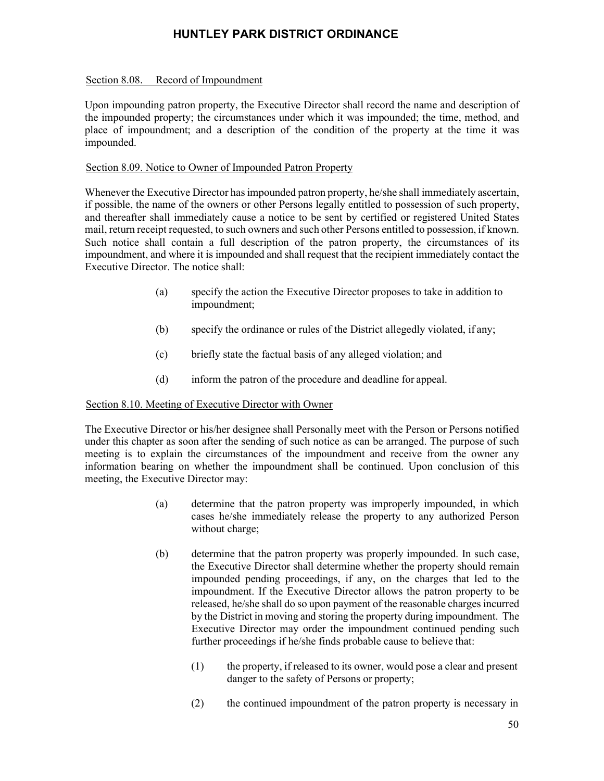#### <span id="page-53-0"></span>Section 8.08. Record of Impoundment

Upon impounding patron property, the Executive Director shall record the name and description of the impounded property; the circumstances under which it was impounded; the time, method, and place of impoundment; and a description of the condition of the property at the time it was impounded.

#### <span id="page-53-1"></span>Section 8.09. Notice to Owner of Impounded Patron Property

Whenever the Executive Director has impounded patron property, he/she shall immediately ascertain, if possible, the name of the owners or other Persons legally entitled to possession of such property, and thereafter shall immediately cause a notice to be sent by certified or registered United States mail, return receipt requested, to such owners and such other Persons entitled to possession, if known. Such notice shall contain a full description of the patron property, the circumstances of its impoundment, and where it is impounded and shall request that the recipient immediately contact the Executive Director. The notice shall:

- (a) specify the action the Executive Director proposes to take in addition to impoundment;
- (b) specify the ordinance or rules of the District allegedly violated, if any;
- (c) briefly state the factual basis of any alleged violation; and
- (d) inform the patron of the procedure and deadline for appeal.

### <span id="page-53-2"></span>Section 8.10. Meeting of Executive Director with Owner

The Executive Director or his/her designee shall Personally meet with the Person or Persons notified under this chapter as soon after the sending of such notice as can be arranged. The purpose of such meeting is to explain the circumstances of the impoundment and receive from the owner any information bearing on whether the impoundment shall be continued. Upon conclusion of this meeting, the Executive Director may:

- (a) determine that the patron property was improperly impounded, in which cases he/she immediately release the property to any authorized Person without charge;
- (b) determine that the patron property was properly impounded. In such case, the Executive Director shall determine whether the property should remain impounded pending proceedings, if any, on the charges that led to the impoundment. If the Executive Director allows the patron property to be released, he/she shall do so upon payment of the reasonable charges incurred by the District in moving and storing the property during impoundment. The Executive Director may order the impoundment continued pending such further proceedings if he/she finds probable cause to believe that:
	- (1) the property, if released to its owner, would pose a clear and present danger to the safety of Persons or property;
	- (2) the continued impoundment of the patron property is necessary in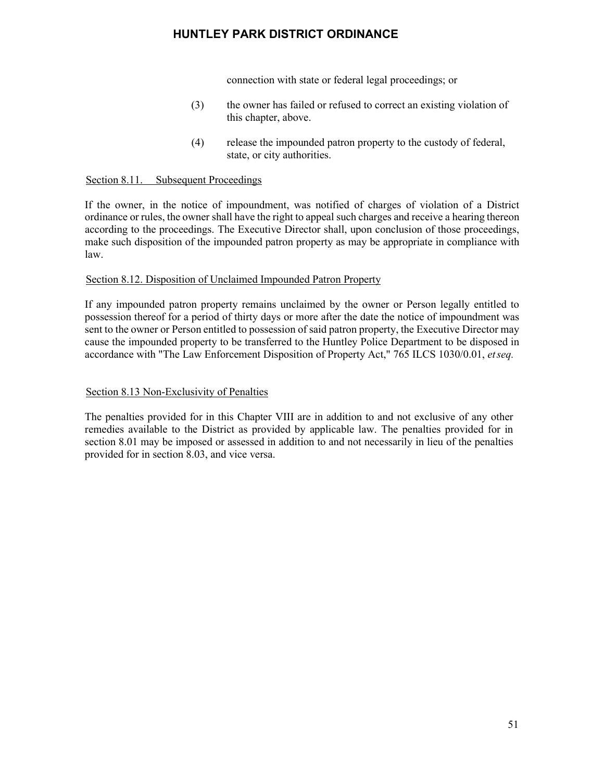connection with state or federal legal proceedings; or

- (3) the owner has failed or refused to correct an existing violation of this chapter, above.
- (4) release the impounded patron property to the custody of federal, state, or city authorities.

#### <span id="page-54-0"></span>Section 8.11. Subsequent Proceedings

If the owner, in the notice of impoundment, was notified of charges of violation of a District ordinance or rules, the owner shall have the right to appeal such charges and receive a hearing thereon according to the proceedings. The Executive Director shall, upon conclusion of those proceedings, make such disposition of the impounded patron property as may be appropriate in compliance with law.

#### <span id="page-54-1"></span>Section 8.12. Disposition of Unclaimed Impounded Patron Property

If any impounded patron property remains unclaimed by the owner or Person legally entitled to possession thereof for a period of thirty days or more after the date the notice of impoundment was sent to the owner or Person entitled to possession of said patron property, the Executive Director may cause the impounded property to be transferred to the Huntley Police Department to be disposed in accordance with "The Law Enforcement Disposition of Property Act," 765 ILCS 1030/0.01, *etseq.*

#### <span id="page-54-2"></span>Section 8.13 Non-Exclusivity of Penalties

The penalties provided for in this Chapter VIII are in addition to and not exclusive of any other remedies available to the District as provided by applicable law. The penalties provided for in section 8.01 may be imposed or assessed in addition to and not necessarily in lieu of the penalties provided for in section 8.03, and vice versa.